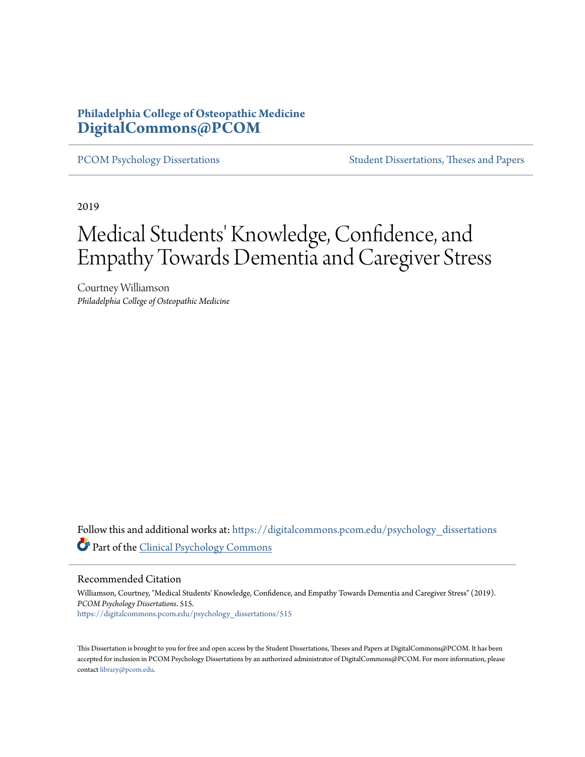## **Philadelphia College of Osteopathic Medicine [DigitalCommons@PCOM](https://digitalcommons.pcom.edu?utm_source=digitalcommons.pcom.edu%2Fpsychology_dissertations%2F515&utm_medium=PDF&utm_campaign=PDFCoverPages)**

[PCOM Psychology Dissertations](https://digitalcommons.pcom.edu/psychology_dissertations?utm_source=digitalcommons.pcom.edu%2Fpsychology_dissertations%2F515&utm_medium=PDF&utm_campaign=PDFCoverPages) [Student Dissertations, Theses and Papers](https://digitalcommons.pcom.edu/etds?utm_source=digitalcommons.pcom.edu%2Fpsychology_dissertations%2F515&utm_medium=PDF&utm_campaign=PDFCoverPages)

2019

# Medical Students' Knowledge, Confidence, and Empathy Towards Dementia and Caregiver Stress

Courtney Williamson *Philadelphia College of Osteopathic Medicine*

Follow this and additional works at: [https://digitalcommons.pcom.edu/psychology\\_dissertations](https://digitalcommons.pcom.edu/psychology_dissertations?utm_source=digitalcommons.pcom.edu%2Fpsychology_dissertations%2F515&utm_medium=PDF&utm_campaign=PDFCoverPages) Part of the [Clinical Psychology Commons](http://network.bepress.com/hgg/discipline/406?utm_source=digitalcommons.pcom.edu%2Fpsychology_dissertations%2F515&utm_medium=PDF&utm_campaign=PDFCoverPages)

Recommended Citation

Williamson, Courtney, "Medical Students' Knowledge, Confidence, and Empathy Towards Dementia and Caregiver Stress" (2019). *PCOM Psychology Dissertations*. 515. [https://digitalcommons.pcom.edu/psychology\\_dissertations/515](https://digitalcommons.pcom.edu/psychology_dissertations/515?utm_source=digitalcommons.pcom.edu%2Fpsychology_dissertations%2F515&utm_medium=PDF&utm_campaign=PDFCoverPages)

This Dissertation is brought to you for free and open access by the Student Dissertations, Theses and Papers at DigitalCommons@PCOM. It has been accepted for inclusion in PCOM Psychology Dissertations by an authorized administrator of DigitalCommons@PCOM. For more information, please contact [library@pcom.edu.](mailto:library@pcom.edu)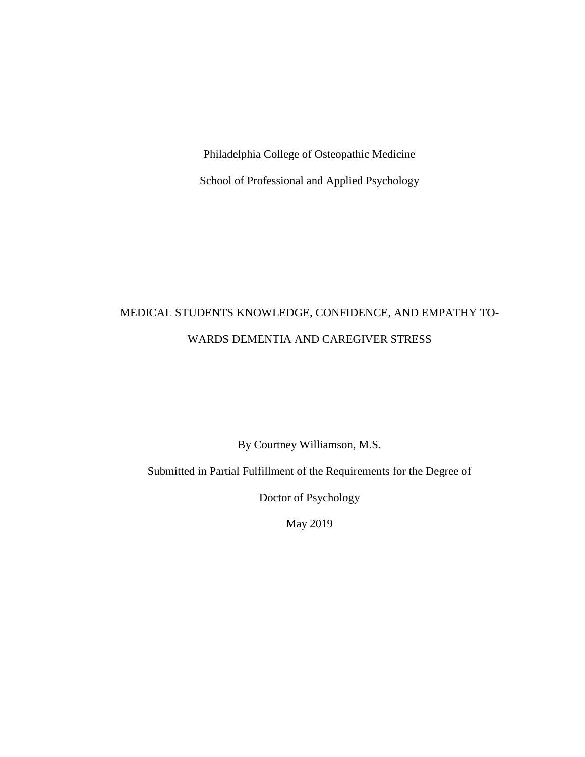Philadelphia College of Osteopathic Medicine School of Professional and Applied Psychology

## MEDICAL STUDENTS KNOWLEDGE, CONFIDENCE, AND EMPATHY TO-WARDS DEMENTIA AND CAREGIVER STRESS

By Courtney Williamson, M.S.

Submitted in Partial Fulfillment of the Requirements for the Degree of

Doctor of Psychology

May 2019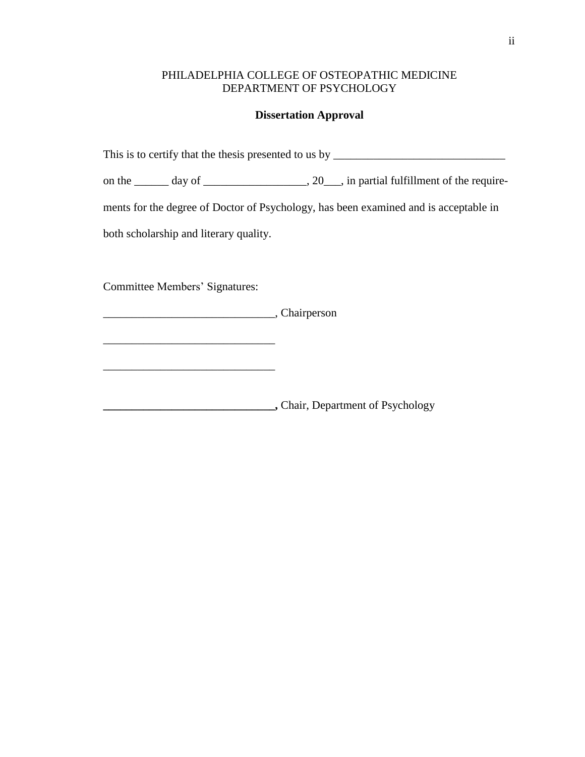## PHILADELPHIA COLLEGE OF OSTEOPATHIC MEDICINE DEPARTMENT OF PSYCHOLOGY

#### **Dissertation Approval**

This is to certify that the thesis presented to us by \_\_\_\_\_\_\_\_\_\_\_\_\_\_\_\_\_\_\_\_\_\_\_\_\_\_\_

on the \_\_\_\_\_\_ day of \_\_\_\_\_\_\_\_\_\_\_\_\_\_\_\_\_, 20\_\_\_, in partial fulfillment of the require-

ments for the degree of Doctor of Psychology, has been examined and is acceptable in

both scholarship and literary quality.

Committee Members' Signatures:

 $\mathcal{L}_\text{max}$  and  $\mathcal{L}_\text{max}$  and  $\mathcal{L}_\text{max}$  and  $\mathcal{L}_\text{max}$ 

 $\frac{1}{2}$  ,  $\frac{1}{2}$  ,  $\frac{1}{2}$  ,  $\frac{1}{2}$  ,  $\frac{1}{2}$  ,  $\frac{1}{2}$  ,  $\frac{1}{2}$  ,  $\frac{1}{2}$  ,  $\frac{1}{2}$  ,  $\frac{1}{2}$  ,  $\frac{1}{2}$  ,  $\frac{1}{2}$  ,  $\frac{1}{2}$  ,  $\frac{1}{2}$  ,  $\frac{1}{2}$  ,  $\frac{1}{2}$  ,  $\frac{1}{2}$  ,  $\frac{1}{2}$  ,  $\frac{1$ 

\_\_\_\_\_\_\_\_\_\_\_\_\_\_\_\_\_\_\_\_\_\_\_\_\_\_\_\_\_\_, Chairperson

**\_\_\_\_\_\_\_\_\_\_\_\_\_\_\_\_\_\_\_\_\_\_\_\_\_\_\_\_\_\_,** Chair, Department of Psychology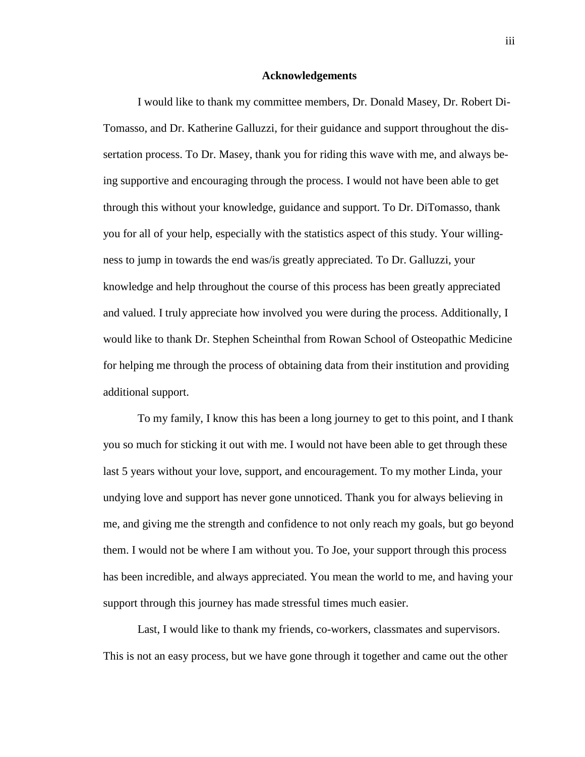#### **Acknowledgements**

I would like to thank my committee members, Dr. Donald Masey, Dr. Robert Di-Tomasso, and Dr. Katherine Galluzzi, for their guidance and support throughout the dissertation process. To Dr. Masey, thank you for riding this wave with me, and always being supportive and encouraging through the process. I would not have been able to get through this without your knowledge, guidance and support. To Dr. DiTomasso, thank you for all of your help, especially with the statistics aspect of this study. Your willingness to jump in towards the end was/is greatly appreciated. To Dr. Galluzzi, your knowledge and help throughout the course of this process has been greatly appreciated and valued. I truly appreciate how involved you were during the process. Additionally, I would like to thank Dr. Stephen Scheinthal from Rowan School of Osteopathic Medicine for helping me through the process of obtaining data from their institution and providing additional support.

To my family, I know this has been a long journey to get to this point, and I thank you so much for sticking it out with me. I would not have been able to get through these last 5 years without your love, support, and encouragement. To my mother Linda, your undying love and support has never gone unnoticed. Thank you for always believing in me, and giving me the strength and confidence to not only reach my goals, but go beyond them. I would not be where I am without you. To Joe, your support through this process has been incredible, and always appreciated. You mean the world to me, and having your support through this journey has made stressful times much easier.

Last, I would like to thank my friends, co-workers, classmates and supervisors. This is not an easy process, but we have gone through it together and came out the other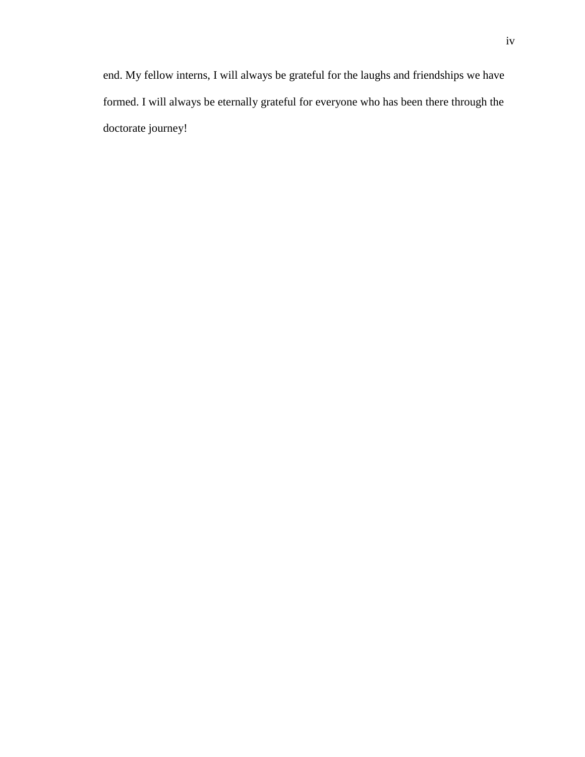end. My fellow interns, I will always be grateful for the laughs and friendships we have formed. I will always be eternally grateful for everyone who has been there through the doctorate journey!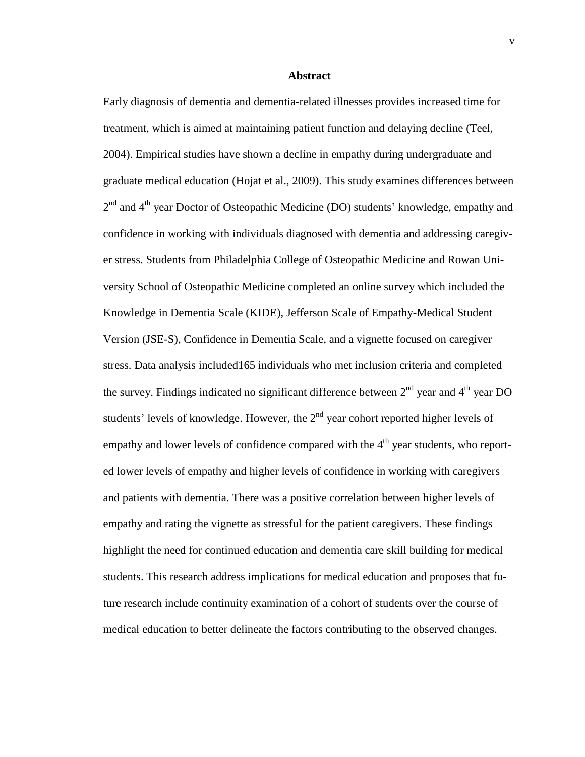#### **Abstract**

Early diagnosis of dementia and dementia-related illnesses provides increased time for treatment, which is aimed at maintaining patient function and delaying decline (Teel, 2004). Empirical studies have shown a decline in empathy during undergraduate and graduate medical education (Hojat et al., 2009). This study examines differences between 2<sup>nd</sup> and 4<sup>th</sup> year Doctor of Osteopathic Medicine (DO) students' knowledge, empathy and confidence in working with individuals diagnosed with dementia and addressing caregiver stress. Students from Philadelphia College of Osteopathic Medicine and Rowan University School of Osteopathic Medicine completed an online survey which included the Knowledge in Dementia Scale (KIDE), Jefferson Scale of Empathy-Medical Student Version (JSE-S), Confidence in Dementia Scale, and a vignette focused on caregiver stress. Data analysis included165 individuals who met inclusion criteria and completed the survey. Findings indicated no significant difference between  $2<sup>nd</sup>$  year and  $4<sup>th</sup>$  year DO students' levels of knowledge. However, the  $2<sup>nd</sup>$  year cohort reported higher levels of empathy and lower levels of confidence compared with the 4<sup>th</sup> year students, who reported lower levels of empathy and higher levels of confidence in working with caregivers and patients with dementia. There was a positive correlation between higher levels of empathy and rating the vignette as stressful for the patient caregivers. These findings highlight the need for continued education and dementia care skill building for medical students. This research address implications for medical education and proposes that future research include continuity examination of a cohort of students over the course of medical education to better delineate the factors contributing to the observed changes.

v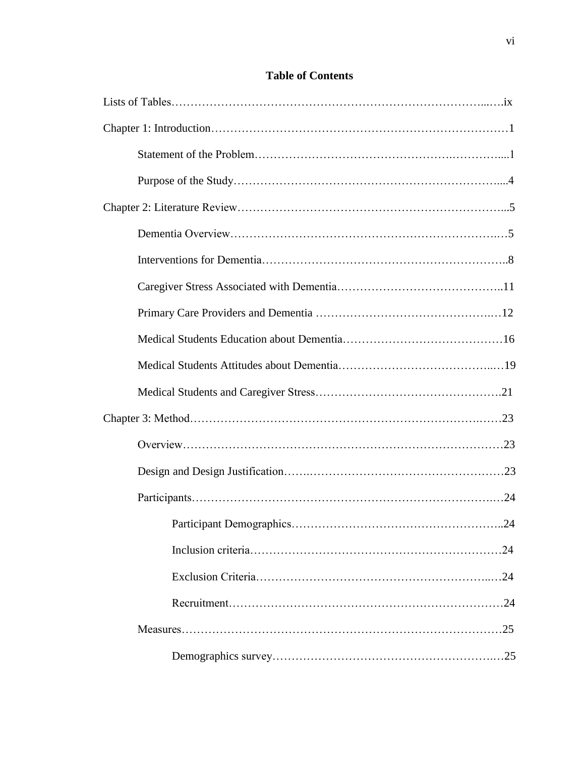## **Table of Contents**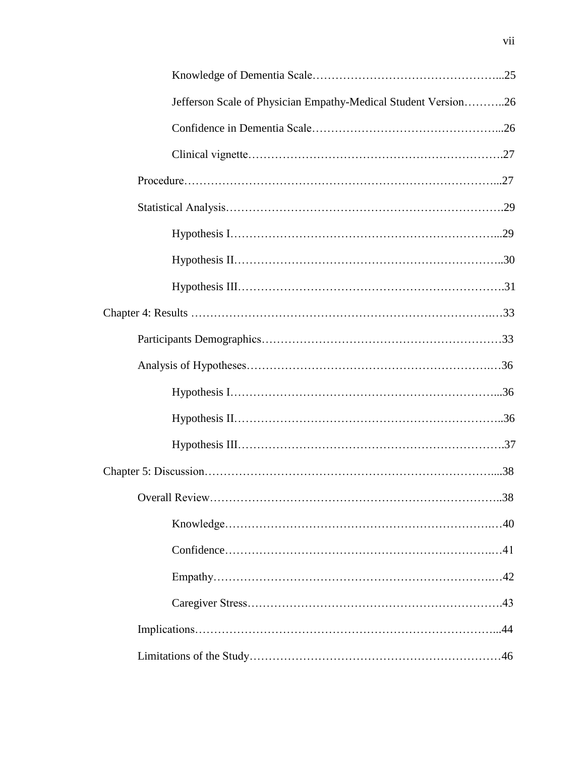| Jefferson Scale of Physician Empathy-Medical Student Version26 |  |
|----------------------------------------------------------------|--|
|                                                                |  |
|                                                                |  |
|                                                                |  |
|                                                                |  |
|                                                                |  |
|                                                                |  |
|                                                                |  |
|                                                                |  |
|                                                                |  |
|                                                                |  |
|                                                                |  |
|                                                                |  |
|                                                                |  |
|                                                                |  |
|                                                                |  |
|                                                                |  |
|                                                                |  |
|                                                                |  |
|                                                                |  |
|                                                                |  |
|                                                                |  |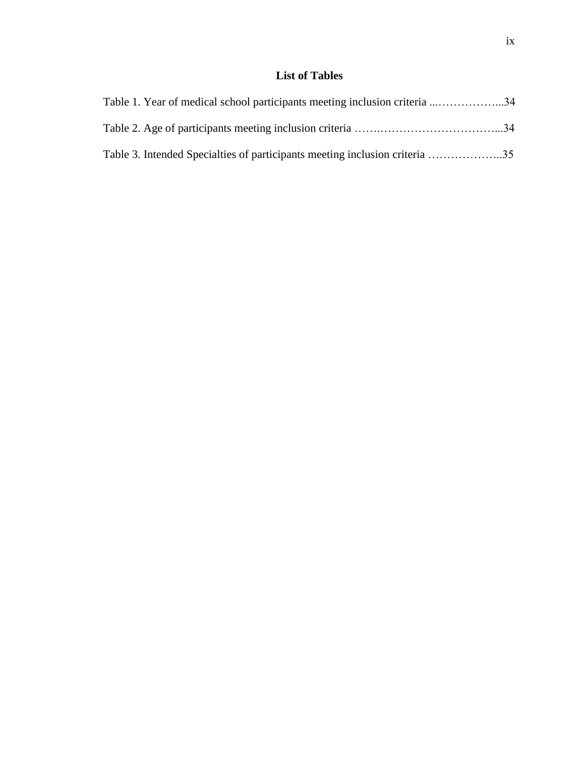## **List of Tables**

| Table 1. Year of medical school participants meeting inclusion criteria 34  |  |
|-----------------------------------------------------------------------------|--|
|                                                                             |  |
| Table 3. Intended Specialties of participants meeting inclusion criteria 35 |  |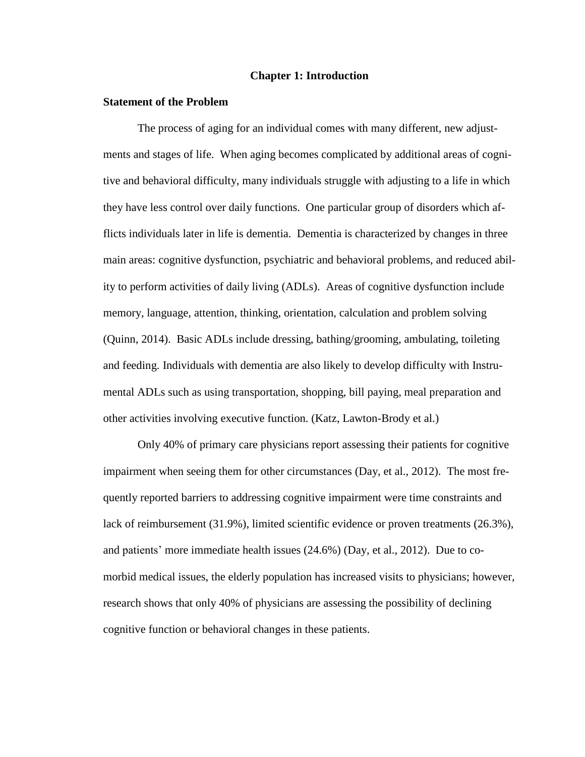#### **Chapter 1: Introduction**

#### **Statement of the Problem**

The process of aging for an individual comes with many different, new adjustments and stages of life. When aging becomes complicated by additional areas of cognitive and behavioral difficulty, many individuals struggle with adjusting to a life in which they have less control over daily functions. One particular group of disorders which afflicts individuals later in life is dementia. Dementia is characterized by changes in three main areas: cognitive dysfunction, psychiatric and behavioral problems, and reduced ability to perform activities of daily living (ADLs). Areas of cognitive dysfunction include memory, language, attention, thinking, orientation, calculation and problem solving (Quinn, 2014). Basic ADLs include dressing, bathing/grooming, ambulating, toileting and feeding. Individuals with dementia are also likely to develop difficulty with Instrumental ADLs such as using transportation, shopping, bill paying, meal preparation and other activities involving executive function. (Katz, Lawton-Brody et al.)

Only 40% of primary care physicians report assessing their patients for cognitive impairment when seeing them for other circumstances (Day, et al., 2012). The most frequently reported barriers to addressing cognitive impairment were time constraints and lack of reimbursement (31.9%), limited scientific evidence or proven treatments (26.3%), and patients' more immediate health issues (24.6%) (Day, et al., 2012). Due to comorbid medical issues, the elderly population has increased visits to physicians; however, research shows that only 40% of physicians are assessing the possibility of declining cognitive function or behavioral changes in these patients.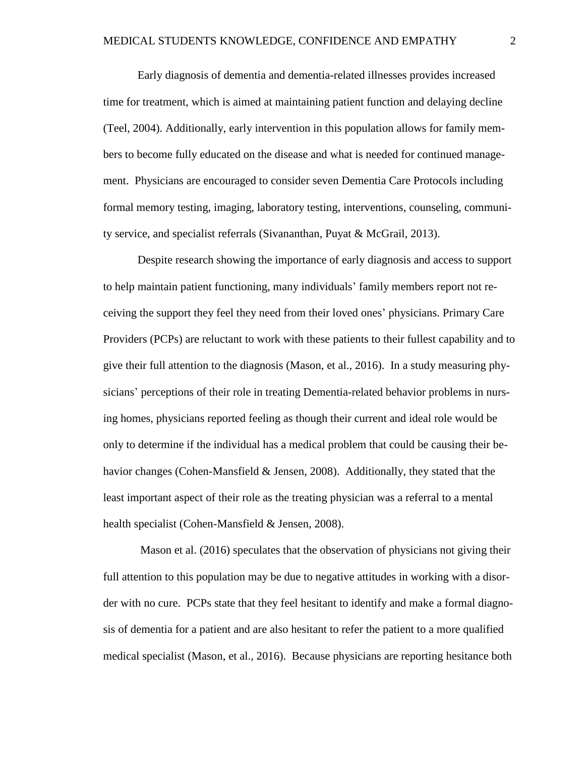Early diagnosis of dementia and dementia-related illnesses provides increased time for treatment, which is aimed at maintaining patient function and delaying decline (Teel, 2004). Additionally, early intervention in this population allows for family members to become fully educated on the disease and what is needed for continued management. Physicians are encouraged to consider seven Dementia Care Protocols including formal memory testing, imaging, laboratory testing, interventions, counseling, community service, and specialist referrals (Sivananthan, Puyat & McGrail, 2013).

Despite research showing the importance of early diagnosis and access to support to help maintain patient functioning, many individuals' family members report not receiving the support they feel they need from their loved ones' physicians. Primary Care Providers (PCPs) are reluctant to work with these patients to their fullest capability and to give their full attention to the diagnosis (Mason, et al., 2016). In a study measuring physicians' perceptions of their role in treating Dementia-related behavior problems in nursing homes, physicians reported feeling as though their current and ideal role would be only to determine if the individual has a medical problem that could be causing their behavior changes (Cohen-Mansfield & Jensen, 2008). Additionally, they stated that the least important aspect of their role as the treating physician was a referral to a mental health specialist (Cohen-Mansfield & Jensen, 2008).

Mason et al. (2016) speculates that the observation of physicians not giving their full attention to this population may be due to negative attitudes in working with a disorder with no cure. PCPs state that they feel hesitant to identify and make a formal diagnosis of dementia for a patient and are also hesitant to refer the patient to a more qualified medical specialist (Mason, et al., 2016). Because physicians are reporting hesitance both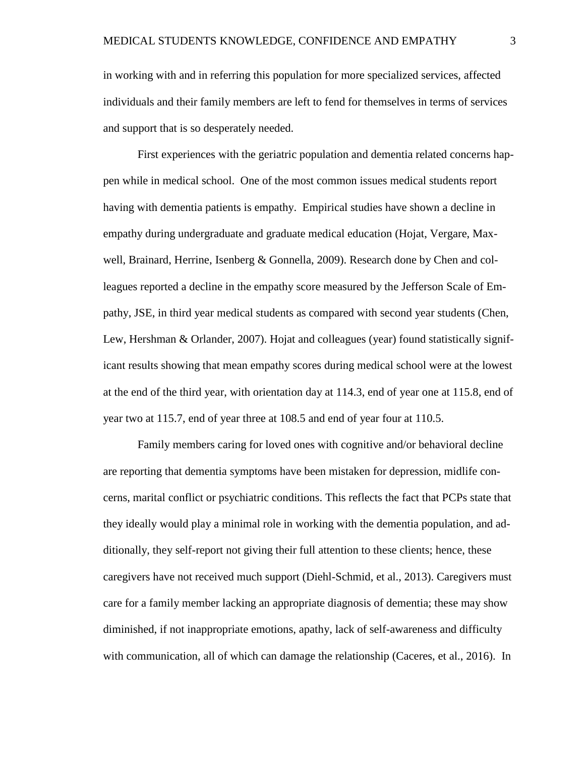in working with and in referring this population for more specialized services, affected individuals and their family members are left to fend for themselves in terms of services and support that is so desperately needed.

First experiences with the geriatric population and dementia related concerns happen while in medical school. One of the most common issues medical students report having with dementia patients is empathy. Empirical studies have shown a decline in empathy during undergraduate and graduate medical education (Hojat, Vergare, Maxwell, Brainard, Herrine, Isenberg & Gonnella, 2009). Research done by Chen and colleagues reported a decline in the empathy score measured by the Jefferson Scale of Empathy, JSE, in third year medical students as compared with second year students (Chen, Lew, Hershman & Orlander, 2007). Hojat and colleagues (year) found statistically significant results showing that mean empathy scores during medical school were at the lowest at the end of the third year, with orientation day at 114.3, end of year one at 115.8, end of year two at 115.7, end of year three at 108.5 and end of year four at 110.5.

Family members caring for loved ones with cognitive and/or behavioral decline are reporting that dementia symptoms have been mistaken for depression, midlife concerns, marital conflict or psychiatric conditions. This reflects the fact that PCPs state that they ideally would play a minimal role in working with the dementia population, and additionally, they self-report not giving their full attention to these clients; hence, these caregivers have not received much support (Diehl-Schmid, et al., 2013). Caregivers must care for a family member lacking an appropriate diagnosis of dementia; these may show diminished, if not inappropriate emotions, apathy, lack of self-awareness and difficulty with communication, all of which can damage the relationship (Caceres, et al., 2016). In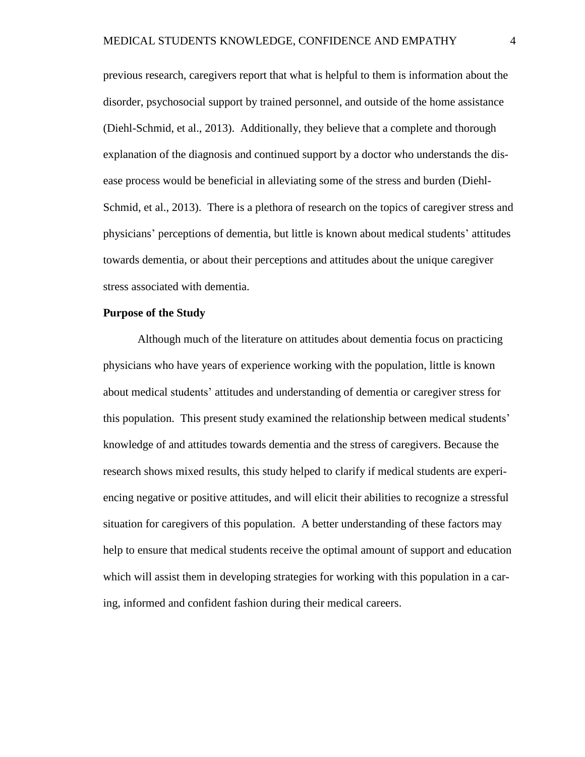previous research, caregivers report that what is helpful to them is information about the disorder, psychosocial support by trained personnel, and outside of the home assistance (Diehl-Schmid, et al., 2013). Additionally, they believe that a complete and thorough explanation of the diagnosis and continued support by a doctor who understands the disease process would be beneficial in alleviating some of the stress and burden (Diehl-Schmid, et al., 2013). There is a plethora of research on the topics of caregiver stress and physicians' perceptions of dementia, but little is known about medical students' attitudes towards dementia, or about their perceptions and attitudes about the unique caregiver stress associated with dementia.

#### **Purpose of the Study**

Although much of the literature on attitudes about dementia focus on practicing physicians who have years of experience working with the population, little is known about medical students' attitudes and understanding of dementia or caregiver stress for this population. This present study examined the relationship between medical students' knowledge of and attitudes towards dementia and the stress of caregivers. Because the research shows mixed results, this study helped to clarify if medical students are experiencing negative or positive attitudes, and will elicit their abilities to recognize a stressful situation for caregivers of this population. A better understanding of these factors may help to ensure that medical students receive the optimal amount of support and education which will assist them in developing strategies for working with this population in a caring, informed and confident fashion during their medical careers.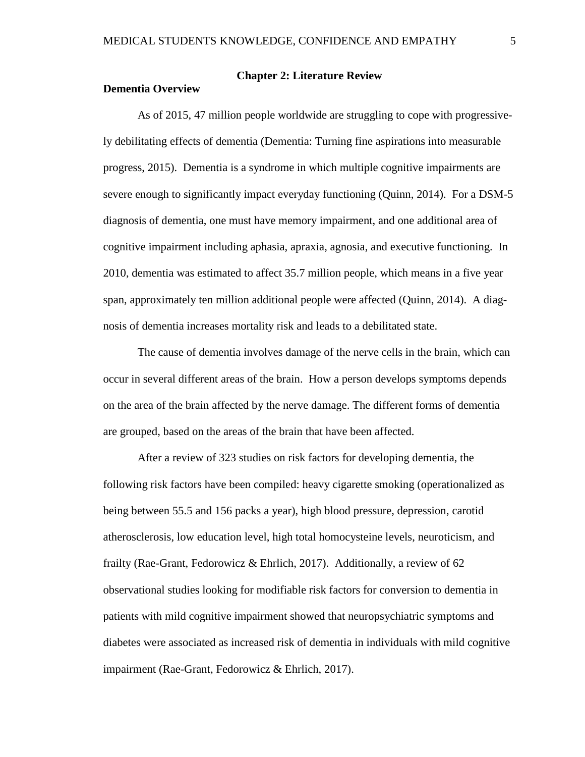**Dementia Overview**

## **Chapter 2: Literature Review**

As of 2015, 47 million people worldwide are struggling to cope with progressively debilitating effects of dementia (Dementia: Turning fine aspirations into measurable progress, 2015). Dementia is a syndrome in which multiple cognitive impairments are severe enough to significantly impact everyday functioning (Quinn, 2014). For a DSM-5 diagnosis of dementia, one must have memory impairment, and one additional area of cognitive impairment including aphasia, apraxia, agnosia, and executive functioning. In 2010, dementia was estimated to affect 35.7 million people, which means in a five year span, approximately ten million additional people were affected (Quinn, 2014). A diagnosis of dementia increases mortality risk and leads to a debilitated state.

The cause of dementia involves damage of the nerve cells in the brain, which can occur in several different areas of the brain. How a person develops symptoms depends on the area of the brain affected by the nerve damage. The different forms of dementia are grouped, based on the areas of the brain that have been affected.

 After a review of 323 studies on risk factors for developing dementia, the following risk factors have been compiled: heavy cigarette smoking (operationalized as being between 55.5 and 156 packs a year), high blood pressure, depression, carotid atherosclerosis, low education level, high total homocysteine levels, neuroticism, and frailty (Rae-Grant, Fedorowicz & Ehrlich, 2017). Additionally, a review of 62 observational studies looking for modifiable risk factors for conversion to dementia in patients with mild cognitive impairment showed that neuropsychiatric symptoms and diabetes were associated as increased risk of dementia in individuals with mild cognitive impairment (Rae-Grant, Fedorowicz & Ehrlich, 2017).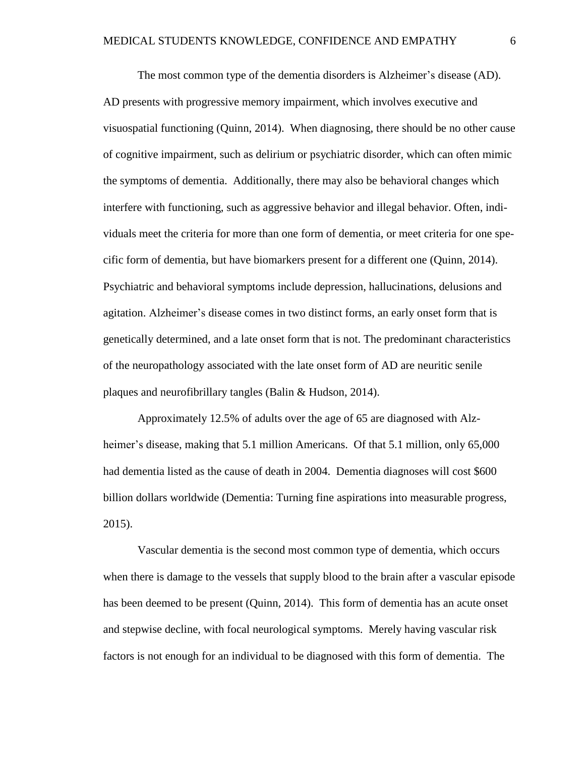The most common type of the dementia disorders is Alzheimer's disease (AD). AD presents with progressive memory impairment, which involves executive and visuospatial functioning (Quinn, 2014). When diagnosing, there should be no other cause of cognitive impairment, such as delirium or psychiatric disorder, which can often mimic the symptoms of dementia. Additionally, there may also be behavioral changes which interfere with functioning, such as aggressive behavior and illegal behavior. Often, individuals meet the criteria for more than one form of dementia, or meet criteria for one specific form of dementia, but have biomarkers present for a different one (Quinn, 2014). Psychiatric and behavioral symptoms include depression, hallucinations, delusions and agitation. Alzheimer's disease comes in two distinct forms, an early onset form that is genetically determined, and a late onset form that is not. The predominant characteristics of the neuropathology associated with the late onset form of AD are neuritic senile plaques and neurofibrillary tangles (Balin & Hudson, 2014).

Approximately 12.5% of adults over the age of 65 are diagnosed with Alzheimer's disease, making that 5.1 million Americans. Of that 5.1 million, only 65,000 had dementia listed as the cause of death in 2004. Dementia diagnoses will cost \$600 billion dollars worldwide (Dementia: Turning fine aspirations into measurable progress, 2015).

 Vascular dementia is the second most common type of dementia, which occurs when there is damage to the vessels that supply blood to the brain after a vascular episode has been deemed to be present (Quinn, 2014). This form of dementia has an acute onset and stepwise decline, with focal neurological symptoms. Merely having vascular risk factors is not enough for an individual to be diagnosed with this form of dementia. The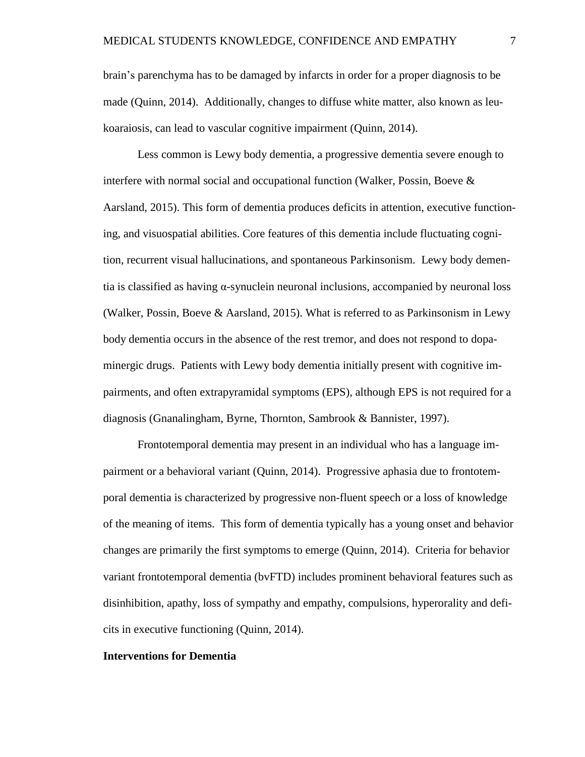brain's parenchyma has to be damaged by infarcts in order for a proper diagnosis to be made (Quinn, 2014). Additionally, changes to diffuse white matter, also known as leukoaraiosis, can lead to vascular cognitive impairment (Quinn, 2014).

Less common is Lewy body dementia, a progressive dementia severe enough to interfere with normal social and occupational function (Walker, Possin, Boeve  $\&$ Aarsland, 2015). This form of dementia produces deficits in attention, executive functioning, and visuospatial abilities. Core features of this dementia include fluctuating cognition, recurrent visual hallucinations, and spontaneous Parkinsonism. Lewy body dementia is classified as having α-synuclein neuronal inclusions, accompanied by neuronal loss (Walker, Possin, Boeve & Aarsland, 2015). What is referred to as Parkinsonism in Lewy body dementia occurs in the absence of the rest tremor, and does not respond to dopaminergic drugs. Patients with Lewy body dementia initially present with cognitive impairments, and often extrapyramidal symptoms (EPS), although EPS is not required for a diagnosis (Gnanalingham, Byrne, Thornton, Sambrook & Bannister, 1997).

Frontotemporal dementia may present in an individual who has a language impairment or a behavioral variant (Quinn, 2014). Progressive aphasia due to frontotemporal dementia is characterized by progressive non-fluent speech or a loss of knowledge of the meaning of items. This form of dementia typically has a young onset and behavior changes are primarily the first symptoms to emerge (Quinn, 2014). Criteria for behavior variant frontotemporal dementia (bvFTD) includes prominent behavioral features such as disinhibition, apathy, loss of sympathy and empathy, compulsions, hyperorality and deficits in executive functioning (Quinn, 2014).

#### **Interventions for Dementia**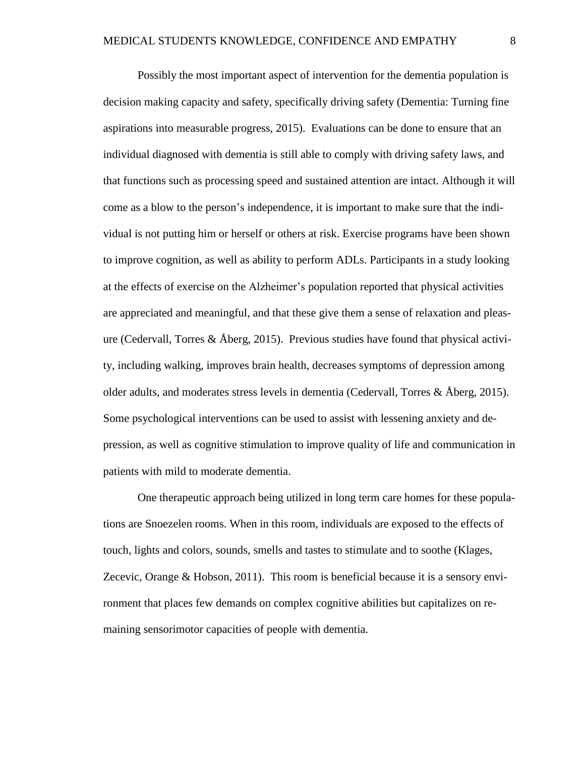Possibly the most important aspect of intervention for the dementia population is decision making capacity and safety, specifically driving safety (Dementia: Turning fine aspirations into measurable progress, 2015). Evaluations can be done to ensure that an individual diagnosed with dementia is still able to comply with driving safety laws, and that functions such as processing speed and sustained attention are intact. Although it will come as a blow to the person's independence, it is important to make sure that the individual is not putting him or herself or others at risk. Exercise programs have been shown to improve cognition, as well as ability to perform ADLs. Participants in a study looking at the effects of exercise on the Alzheimer's population reported that physical activities are appreciated and meaningful, and that these give them a sense of relaxation and pleasure (Cedervall, Torres & Åberg, 2015). Previous studies have found that physical activity, including walking, improves brain health, decreases symptoms of depression among older adults, and moderates stress levels in dementia (Cedervall, Torres & Åberg, 2015). Some psychological interventions can be used to assist with lessening anxiety and depression, as well as cognitive stimulation to improve quality of life and communication in patients with mild to moderate dementia.

One therapeutic approach being utilized in long term care homes for these populations are Snoezelen rooms. When in this room, individuals are exposed to the effects of touch, lights and colors, sounds, smells and tastes to stimulate and to soothe (Klages, Zecevic, Orange & Hobson, 2011). This room is beneficial because it is a sensory environment that places few demands on complex cognitive abilities but capitalizes on remaining sensorimotor capacities of people with dementia.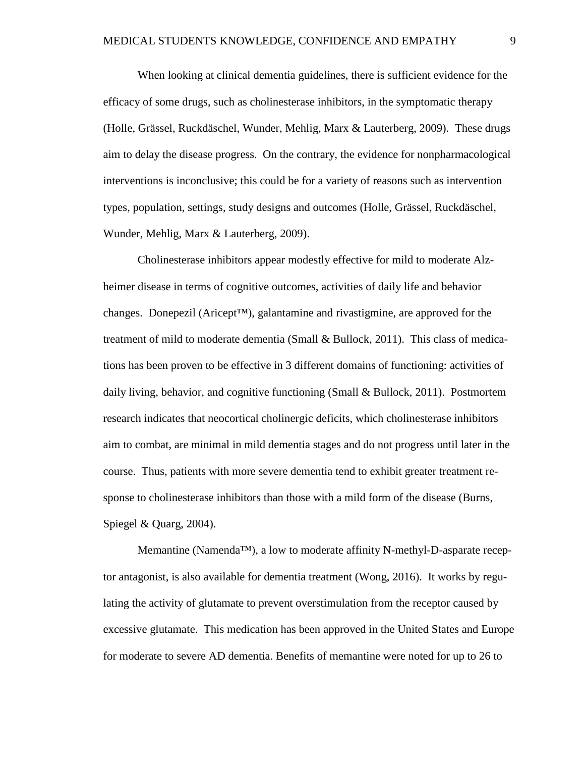When looking at clinical dementia guidelines, there is sufficient evidence for the efficacy of some drugs, such as cholinesterase inhibitors, in the symptomatic therapy (Holle, Grässel, Ruckdäschel, Wunder, Mehlig, Marx & Lauterberg, 2009). These drugs aim to delay the disease progress. On the contrary, the evidence for nonpharmacological interventions is inconclusive; this could be for a variety of reasons such as intervention types, population, settings, study designs and outcomes (Holle, Grässel, Ruckdäschel, Wunder, Mehlig, Marx & Lauterberg, 2009).

Cholinesterase inhibitors appear modestly effective for mild to moderate Alzheimer disease in terms of cognitive outcomes, activities of daily life and behavior changes. Donepezil (Aricept<sup>TM</sup>), galantamine and rivastigmine, are approved for the treatment of mild to moderate dementia (Small & Bullock, 2011). This class of medications has been proven to be effective in 3 different domains of functioning: activities of daily living, behavior, and cognitive functioning (Small & Bullock, 2011). Postmortem research indicates that neocortical cholinergic deficits, which cholinesterase inhibitors aim to combat, are minimal in mild dementia stages and do not progress until later in the course. Thus, patients with more severe dementia tend to exhibit greater treatment response to cholinesterase inhibitors than those with a mild form of the disease (Burns, Spiegel & Quarg, 2004).

Memantine (Namenda™), a low to moderate affinity N-methyl-D-asparate receptor antagonist, is also available for dementia treatment (Wong, 2016). It works by regulating the activity of glutamate to prevent overstimulation from the receptor caused by excessive glutamate. This medication has been approved in the United States and Europe for moderate to severe AD dementia. Benefits of memantine were noted for up to 26 to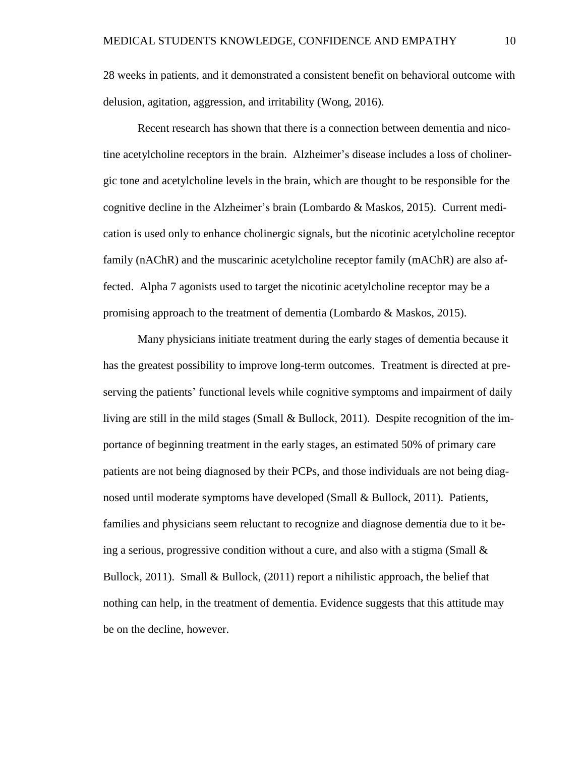28 weeks in patients, and it demonstrated a consistent benefit on behavioral outcome with delusion, agitation, aggression, and irritability (Wong, 2016).

Recent research has shown that there is a connection between dementia and nicotine acetylcholine receptors in the brain. Alzheimer's disease includes a loss of cholinergic tone and acetylcholine levels in the brain, which are thought to be responsible for the cognitive decline in the Alzheimer's brain (Lombardo & Maskos, 2015). Current medication is used only to enhance cholinergic signals, but the nicotinic acetylcholine receptor family (nAChR) and the muscarinic acetylcholine receptor family (mAChR) are also affected. Alpha 7 agonists used to target the nicotinic acetylcholine receptor may be a promising approach to the treatment of dementia (Lombardo & Maskos, 2015).

Many physicians initiate treatment during the early stages of dementia because it has the greatest possibility to improve long-term outcomes. Treatment is directed at preserving the patients' functional levels while cognitive symptoms and impairment of daily living are still in the mild stages (Small & Bullock, 2011). Despite recognition of the importance of beginning treatment in the early stages, an estimated 50% of primary care patients are not being diagnosed by their PCPs, and those individuals are not being diagnosed until moderate symptoms have developed (Small & Bullock, 2011). Patients, families and physicians seem reluctant to recognize and diagnose dementia due to it being a serious, progressive condition without a cure, and also with a stigma (Small  $\&$ Bullock, 2011). Small & Bullock, (2011) report a nihilistic approach, the belief that nothing can help, in the treatment of dementia. Evidence suggests that this attitude may be on the decline, however.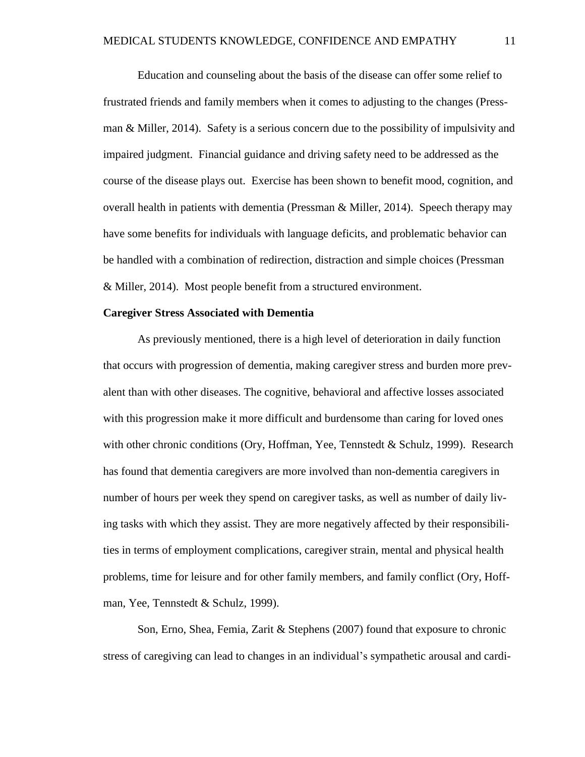Education and counseling about the basis of the disease can offer some relief to frustrated friends and family members when it comes to adjusting to the changes (Pressman & Miller, 2014). Safety is a serious concern due to the possibility of impulsivity and impaired judgment. Financial guidance and driving safety need to be addressed as the course of the disease plays out. Exercise has been shown to benefit mood, cognition, and overall health in patients with dementia (Pressman & Miller, 2014). Speech therapy may have some benefits for individuals with language deficits, and problematic behavior can be handled with a combination of redirection, distraction and simple choices (Pressman & Miller, 2014). Most people benefit from a structured environment.

#### **Caregiver Stress Associated with Dementia**

As previously mentioned, there is a high level of deterioration in daily function that occurs with progression of dementia, making caregiver stress and burden more prevalent than with other diseases. The cognitive, behavioral and affective losses associated with this progression make it more difficult and burdensome than caring for loved ones with other chronic conditions (Ory, Hoffman, Yee, Tennstedt & Schulz, 1999). Research has found that dementia caregivers are more involved than non-dementia caregivers in number of hours per week they spend on caregiver tasks, as well as number of daily living tasks with which they assist. They are more negatively affected by their responsibilities in terms of employment complications, caregiver strain, mental and physical health problems, time for leisure and for other family members, and family conflict (Ory, Hoffman, Yee, Tennstedt & Schulz, 1999).

Son, Erno, Shea, Femia, Zarit & Stephens (2007) found that exposure to chronic stress of caregiving can lead to changes in an individual's sympathetic arousal and cardi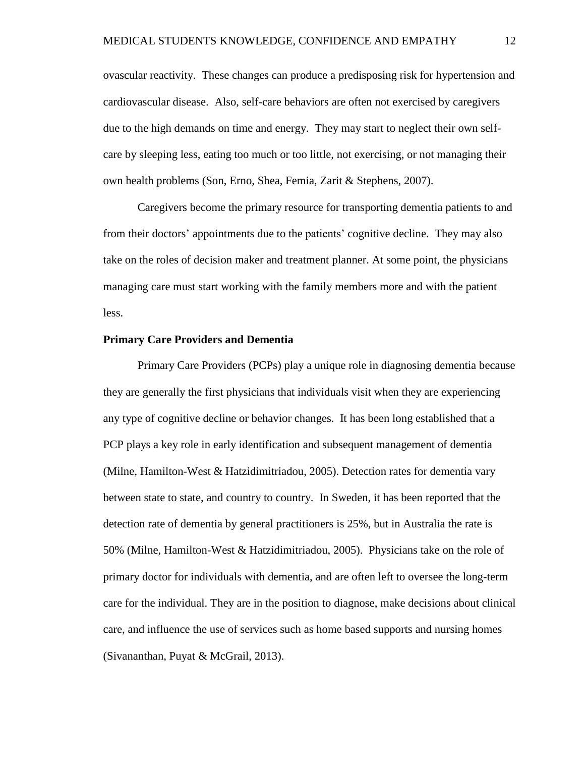ovascular reactivity. These changes can produce a predisposing risk for hypertension and cardiovascular disease. Also, self-care behaviors are often not exercised by caregivers due to the high demands on time and energy. They may start to neglect their own selfcare by sleeping less, eating too much or too little, not exercising, or not managing their own health problems (Son, Erno, Shea, Femia, Zarit & Stephens, 2007).

Caregivers become the primary resource for transporting dementia patients to and from their doctors' appointments due to the patients' cognitive decline. They may also take on the roles of decision maker and treatment planner. At some point, the physicians managing care must start working with the family members more and with the patient less.

#### **Primary Care Providers and Dementia**

 Primary Care Providers (PCPs) play a unique role in diagnosing dementia because they are generally the first physicians that individuals visit when they are experiencing any type of cognitive decline or behavior changes. It has been long established that a PCP plays a key role in early identification and subsequent management of dementia (Milne, Hamilton-West & Hatzidimitriadou, 2005). Detection rates for dementia vary between state to state, and country to country. In Sweden, it has been reported that the detection rate of dementia by general practitioners is 25%, but in Australia the rate is 50% (Milne, Hamilton-West & Hatzidimitriadou, 2005). Physicians take on the role of primary doctor for individuals with dementia, and are often left to oversee the long-term care for the individual. They are in the position to diagnose, make decisions about clinical care, and influence the use of services such as home based supports and nursing homes (Sivananthan, Puyat & McGrail, 2013).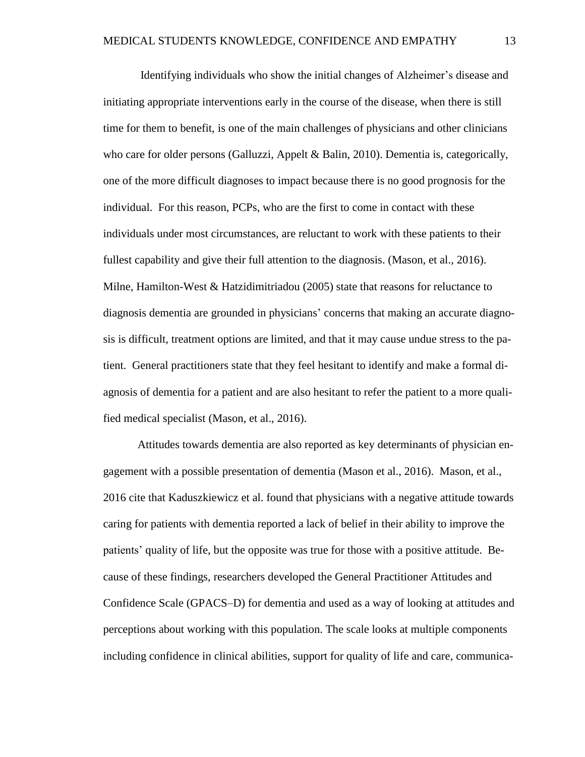Identifying individuals who show the initial changes of Alzheimer's disease and initiating appropriate interventions early in the course of the disease, when there is still time for them to benefit, is one of the main challenges of physicians and other clinicians who care for older persons (Galluzzi, Appelt & Balin, 2010). Dementia is, categorically, one of the more difficult diagnoses to impact because there is no good prognosis for the individual. For this reason, PCPs, who are the first to come in contact with these individuals under most circumstances, are reluctant to work with these patients to their fullest capability and give their full attention to the diagnosis. (Mason, et al., 2016). Milne, Hamilton-West & Hatzidimitriadou (2005) state that reasons for reluctance to diagnosis dementia are grounded in physicians' concerns that making an accurate diagnosis is difficult, treatment options are limited, and that it may cause undue stress to the patient. General practitioners state that they feel hesitant to identify and make a formal diagnosis of dementia for a patient and are also hesitant to refer the patient to a more qualified medical specialist (Mason, et al., 2016).

Attitudes towards dementia are also reported as key determinants of physician engagement with a possible presentation of dementia (Mason et al., 2016). Mason, et al., 2016 cite that Kaduszkiewicz et al. found that physicians with a negative attitude towards caring for patients with dementia reported a lack of belief in their ability to improve the patients' quality of life, but the opposite was true for those with a positive attitude. Because of these findings, researchers developed the General Practitioner Attitudes and Confidence Scale (GPACS–D) for dementia and used as a way of looking at attitudes and perceptions about working with this population. The scale looks at multiple components including confidence in clinical abilities, support for quality of life and care, communica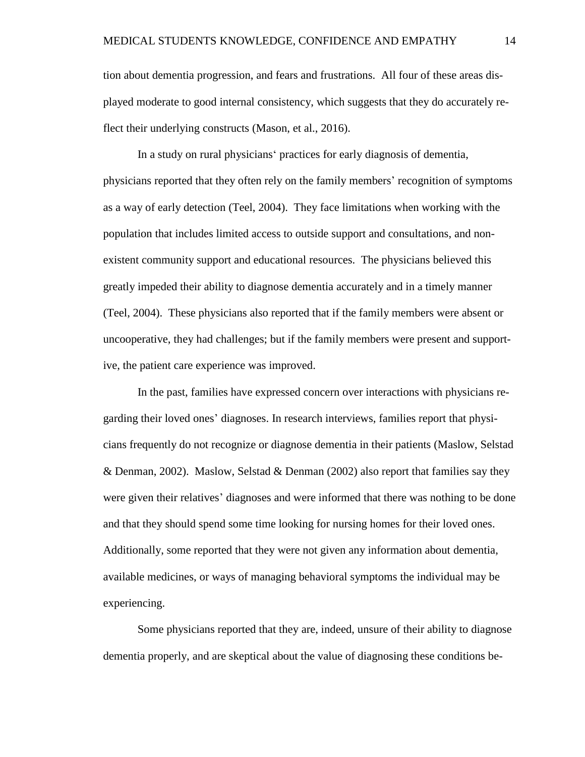tion about dementia progression, and fears and frustrations. All four of these areas displayed moderate to good internal consistency, which suggests that they do accurately reflect their underlying constructs (Mason, et al., 2016).

In a study on rural physicians' practices for early diagnosis of dementia, physicians reported that they often rely on the family members' recognition of symptoms as a way of early detection (Teel, 2004). They face limitations when working with the population that includes limited access to outside support and consultations, and nonexistent community support and educational resources. The physicians believed this greatly impeded their ability to diagnose dementia accurately and in a timely manner (Teel, 2004). These physicians also reported that if the family members were absent or uncooperative, they had challenges; but if the family members were present and supportive, the patient care experience was improved.

In the past, families have expressed concern over interactions with physicians regarding their loved ones' diagnoses. In research interviews, families report that physicians frequently do not recognize or diagnose dementia in their patients (Maslow, Selstad & Denman, 2002). Maslow, Selstad & Denman (2002) also report that families say they were given their relatives' diagnoses and were informed that there was nothing to be done and that they should spend some time looking for nursing homes for their loved ones. Additionally, some reported that they were not given any information about dementia, available medicines, or ways of managing behavioral symptoms the individual may be experiencing.

Some physicians reported that they are, indeed, unsure of their ability to diagnose dementia properly, and are skeptical about the value of diagnosing these conditions be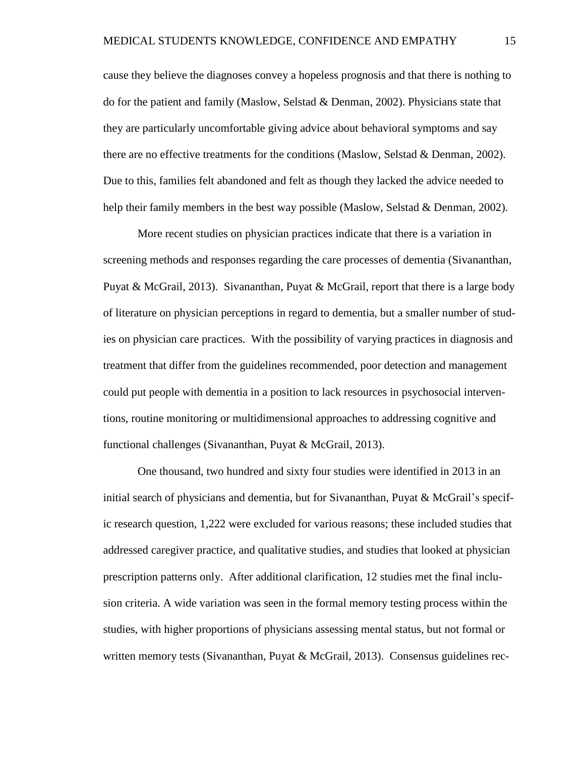cause they believe the diagnoses convey a hopeless prognosis and that there is nothing to do for the patient and family (Maslow, Selstad & Denman, 2002). Physicians state that they are particularly uncomfortable giving advice about behavioral symptoms and say there are no effective treatments for the conditions (Maslow, Selstad & Denman, 2002). Due to this, families felt abandoned and felt as though they lacked the advice needed to help their family members in the best way possible (Maslow, Selstad & Denman, 2002).

More recent studies on physician practices indicate that there is a variation in screening methods and responses regarding the care processes of dementia (Sivananthan, Puyat & McGrail, 2013). Sivananthan, Puyat & McGrail, report that there is a large body of literature on physician perceptions in regard to dementia, but a smaller number of studies on physician care practices. With the possibility of varying practices in diagnosis and treatment that differ from the guidelines recommended, poor detection and management could put people with dementia in a position to lack resources in psychosocial interventions, routine monitoring or multidimensional approaches to addressing cognitive and functional challenges (Sivananthan, Puyat & McGrail, 2013).

One thousand, two hundred and sixty four studies were identified in 2013 in an initial search of physicians and dementia, but for Sivananthan, Puyat & McGrail's specific research question, 1,222 were excluded for various reasons; these included studies that addressed caregiver practice, and qualitative studies, and studies that looked at physician prescription patterns only. After additional clarification, 12 studies met the final inclusion criteria. A wide variation was seen in the formal memory testing process within the studies, with higher proportions of physicians assessing mental status, but not formal or written memory tests (Sivananthan, Puyat & McGrail, 2013). Consensus guidelines rec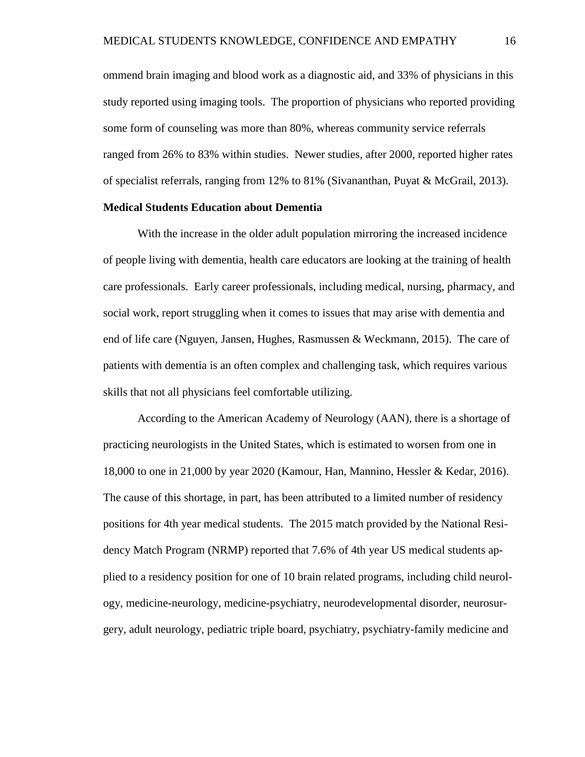ommend brain imaging and blood work as a diagnostic aid, and 33% of physicians in this study reported using imaging tools. The proportion of physicians who reported providing some form of counseling was more than 80%, whereas community service referrals ranged from 26% to 83% within studies. Newer studies, after 2000, reported higher rates of specialist referrals, ranging from 12% to 81% (Sivananthan, Puyat & McGrail, 2013).

#### **Medical Students Education about Dementia**

With the increase in the older adult population mirroring the increased incidence of people living with dementia, health care educators are looking at the training of health care professionals. Early career professionals, including medical, nursing, pharmacy, and social work, report struggling when it comes to issues that may arise with dementia and end of life care (Nguyen, Jansen, Hughes, Rasmussen & Weckmann, 2015). The care of patients with dementia is an often complex and challenging task, which requires various skills that not all physicians feel comfortable utilizing.

According to the American Academy of Neurology (AAN), there is a shortage of practicing neurologists in the United States, which is estimated to worsen from one in 18,000 to one in 21,000 by year 2020 (Kamour, Han, Mannino, Hessler & Kedar, 2016). The cause of this shortage, in part, has been attributed to a limited number of residency positions for 4th year medical students. The 2015 match provided by the National Residency Match Program (NRMP) reported that 7.6% of 4th year US medical students applied to a residency position for one of 10 brain related programs, including child neurology, medicine-neurology, medicine-psychiatry, neurodevelopmental disorder, neurosurgery, adult neurology, pediatric triple board, psychiatry, psychiatry-family medicine and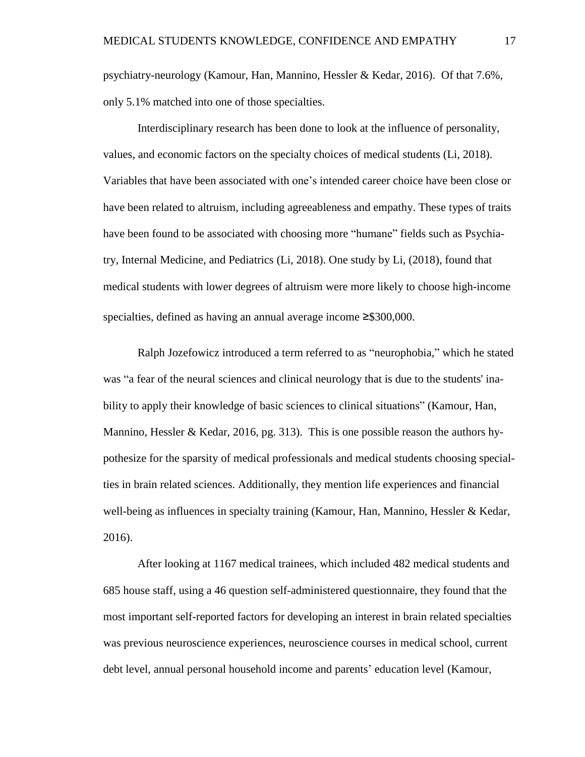psychiatry-neurology (Kamour, Han, Mannino, Hessler & Kedar, 2016). Of that 7.6%, only 5.1% matched into one of those specialties.

Interdisciplinary research has been done to look at the influence of personality, values, and economic factors on the specialty choices of medical students (Li, 2018). Variables that have been associated with one's intended career choice have been close or have been related to altruism, including agreeableness and empathy. These types of traits have been found to be associated with choosing more "humane" fields such as Psychiatry, Internal Medicine, and Pediatrics (Li, 2018). One study by Li, (2018), found that medical students with lower degrees of altruism were more likely to choose high-income specialties, defined as having an annual average income ≥\$300,000.

Ralph Jozefowicz introduced a term referred to as "neurophobia," which he stated was "a fear of the neural sciences and clinical neurology that is due to the students' inability to apply their knowledge of basic sciences to clinical situations" (Kamour, Han, Mannino, Hessler & Kedar, 2016, pg. 313). This is one possible reason the authors hypothesize for the sparsity of medical professionals and medical students choosing specialties in brain related sciences. Additionally, they mention life experiences and financial well-being as influences in specialty training (Kamour, Han, Mannino, Hessler & Kedar, 2016).

After looking at 1167 medical trainees, which included 482 medical students and 685 house staff, using a 46 question self-administered questionnaire, they found that the most important self-reported factors for developing an interest in brain related specialties was previous neuroscience experiences, neuroscience courses in medical school, current debt level, annual personal household income and parents' education level (Kamour,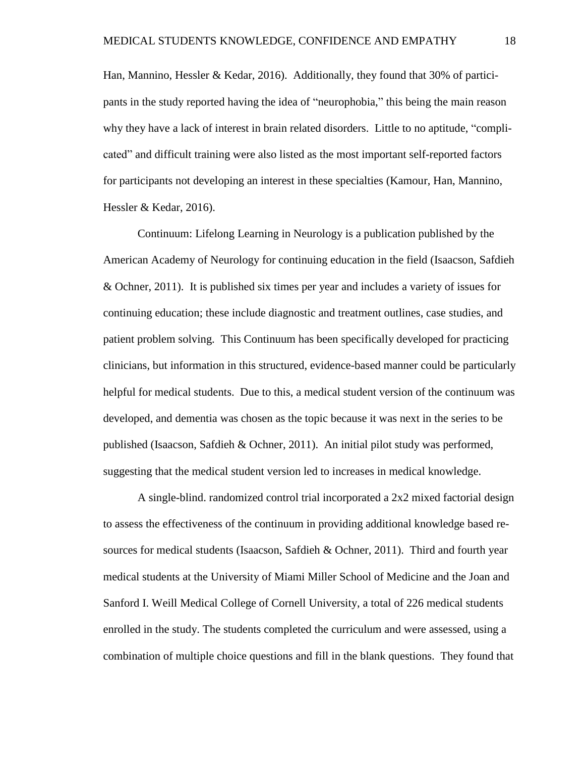Han, Mannino, Hessler & Kedar, 2016). Additionally, they found that 30% of participants in the study reported having the idea of "neurophobia," this being the main reason why they have a lack of interest in brain related disorders. Little to no aptitude, "complicated" and difficult training were also listed as the most important self-reported factors for participants not developing an interest in these specialties (Kamour, Han, Mannino, Hessler & Kedar, 2016).

Continuum: Lifelong Learning in Neurology is a publication published by the American Academy of Neurology for continuing education in the field (Isaacson, Safdieh & Ochner, 2011). It is published six times per year and includes a variety of issues for continuing education; these include diagnostic and treatment outlines, case studies, and patient problem solving. This Continuum has been specifically developed for practicing clinicians, but information in this structured, evidence-based manner could be particularly helpful for medical students. Due to this, a medical student version of the continuum was developed, and dementia was chosen as the topic because it was next in the series to be published (Isaacson, Safdieh & Ochner, 2011). An initial pilot study was performed, suggesting that the medical student version led to increases in medical knowledge.

A single-blind. randomized control trial incorporated a 2x2 mixed factorial design to assess the effectiveness of the continuum in providing additional knowledge based resources for medical students (Isaacson, Safdieh & Ochner, 2011). Third and fourth year medical students at the University of Miami Miller School of Medicine and the Joan and Sanford I. Weill Medical College of Cornell University, a total of 226 medical students enrolled in the study. The students completed the curriculum and were assessed, using a combination of multiple choice questions and fill in the blank questions. They found that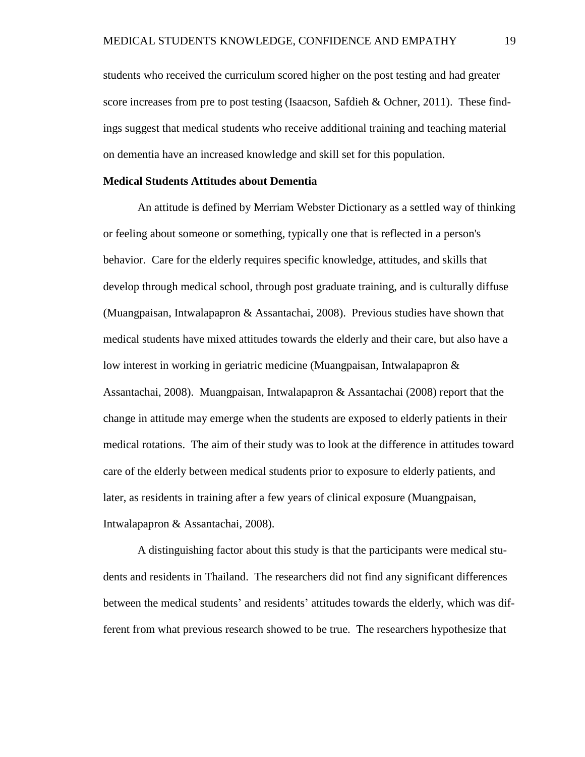students who received the curriculum scored higher on the post testing and had greater score increases from pre to post testing (Isaacson, Safdieh & Ochner, 2011). These findings suggest that medical students who receive additional training and teaching material on dementia have an increased knowledge and skill set for this population.

#### **Medical Students Attitudes about Dementia**

 An attitude is defined by Merriam Webster Dictionary as a settled way of thinking or feeling about someone or something, typically one that is reflected in a person's behavior. Care for the elderly requires specific knowledge, attitudes, and skills that develop through medical school, through post graduate training, and is culturally diffuse (Muangpaisan, Intwalapapron & Assantachai, 2008). Previous studies have shown that medical students have mixed attitudes towards the elderly and their care, but also have a low interest in working in geriatric medicine (Muangpaisan, Intwalapapron & Assantachai, 2008). Muangpaisan, Intwalapapron & Assantachai (2008) report that the change in attitude may emerge when the students are exposed to elderly patients in their medical rotations. The aim of their study was to look at the difference in attitudes toward care of the elderly between medical students prior to exposure to elderly patients, and later, as residents in training after a few years of clinical exposure (Muangpaisan, Intwalapapron & Assantachai, 2008).

A distinguishing factor about this study is that the participants were medical students and residents in Thailand. The researchers did not find any significant differences between the medical students' and residents' attitudes towards the elderly, which was different from what previous research showed to be true. The researchers hypothesize that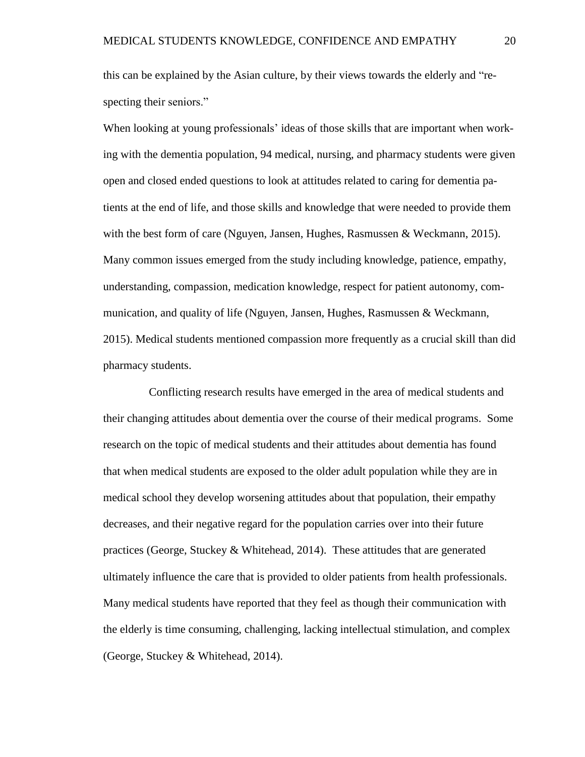this can be explained by the Asian culture, by their views towards the elderly and "respecting their seniors."

When looking at young professionals' ideas of those skills that are important when working with the dementia population, 94 medical, nursing, and pharmacy students were given open and closed ended questions to look at attitudes related to caring for dementia patients at the end of life, and those skills and knowledge that were needed to provide them with the best form of care (Nguyen, Jansen, Hughes, Rasmussen & Weckmann, 2015). Many common issues emerged from the study including knowledge, patience, empathy, understanding, compassion, medication knowledge, respect for patient autonomy, communication, and quality of life (Nguyen, Jansen, Hughes, Rasmussen & Weckmann, 2015). Medical students mentioned compassion more frequently as a crucial skill than did pharmacy students.

 Conflicting research results have emerged in the area of medical students and their changing attitudes about dementia over the course of their medical programs. Some research on the topic of medical students and their attitudes about dementia has found that when medical students are exposed to the older adult population while they are in medical school they develop worsening attitudes about that population, their empathy decreases, and their negative regard for the population carries over into their future practices (George, Stuckey & Whitehead, 2014). These attitudes that are generated ultimately influence the care that is provided to older patients from health professionals. Many medical students have reported that they feel as though their communication with the elderly is time consuming, challenging, lacking intellectual stimulation, and complex (George, Stuckey & Whitehead, 2014).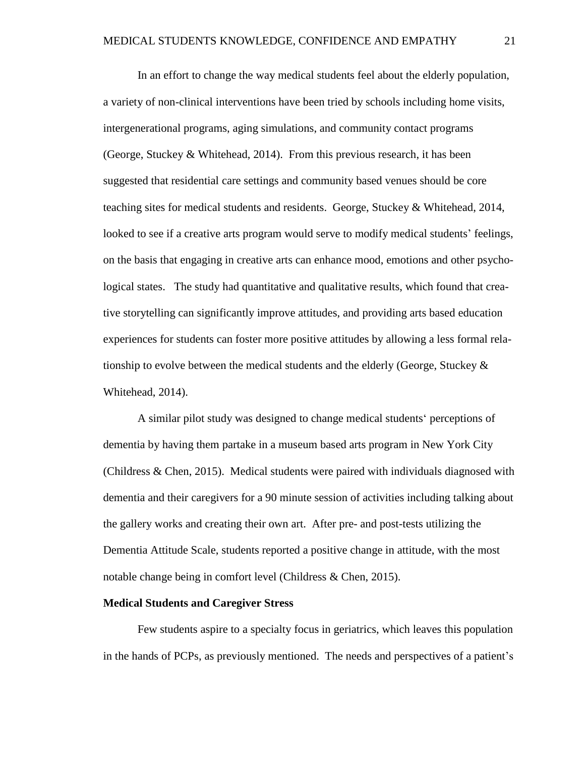In an effort to change the way medical students feel about the elderly population, a variety of non-clinical interventions have been tried by schools including home visits, intergenerational programs, aging simulations, and community contact programs (George, Stuckey & Whitehead, 2014). From this previous research, it has been suggested that residential care settings and community based venues should be core teaching sites for medical students and residents. George, Stuckey & Whitehead, 2014, looked to see if a creative arts program would serve to modify medical students' feelings, on the basis that engaging in creative arts can enhance mood, emotions and other psychological states. The study had quantitative and qualitative results, which found that creative storytelling can significantly improve attitudes, and providing arts based education experiences for students can foster more positive attitudes by allowing a less formal relationship to evolve between the medical students and the elderly (George, Stuckey  $\&$ Whitehead, 2014).

 A similar pilot study was designed to change medical students' perceptions of dementia by having them partake in a museum based arts program in New York City (Childress & Chen, 2015). Medical students were paired with individuals diagnosed with dementia and their caregivers for a 90 minute session of activities including talking about the gallery works and creating their own art. After pre- and post-tests utilizing the Dementia Attitude Scale, students reported a positive change in attitude, with the most notable change being in comfort level (Childress & Chen, 2015).

#### **Medical Students and Caregiver Stress**

Few students aspire to a specialty focus in geriatrics, which leaves this population in the hands of PCPs, as previously mentioned. The needs and perspectives of a patient's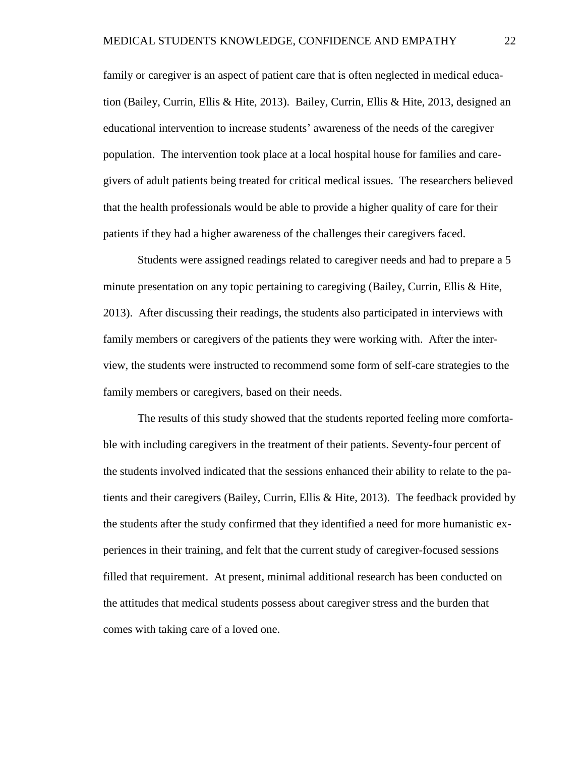family or caregiver is an aspect of patient care that is often neglected in medical education (Bailey, Currin, Ellis & Hite, 2013). Bailey, Currin, Ellis & Hite, 2013, designed an educational intervention to increase students' awareness of the needs of the caregiver population. The intervention took place at a local hospital house for families and caregivers of adult patients being treated for critical medical issues. The researchers believed that the health professionals would be able to provide a higher quality of care for their patients if they had a higher awareness of the challenges their caregivers faced.

Students were assigned readings related to caregiver needs and had to prepare a 5 minute presentation on any topic pertaining to caregiving (Bailey, Currin, Ellis & Hite, 2013). After discussing their readings, the students also participated in interviews with family members or caregivers of the patients they were working with. After the interview, the students were instructed to recommend some form of self-care strategies to the family members or caregivers, based on their needs.

The results of this study showed that the students reported feeling more comfortable with including caregivers in the treatment of their patients. Seventy-four percent of the students involved indicated that the sessions enhanced their ability to relate to the patients and their caregivers (Bailey, Currin, Ellis & Hite, 2013). The feedback provided by the students after the study confirmed that they identified a need for more humanistic experiences in their training, and felt that the current study of caregiver-focused sessions filled that requirement. At present, minimal additional research has been conducted on the attitudes that medical students possess about caregiver stress and the burden that comes with taking care of a loved one.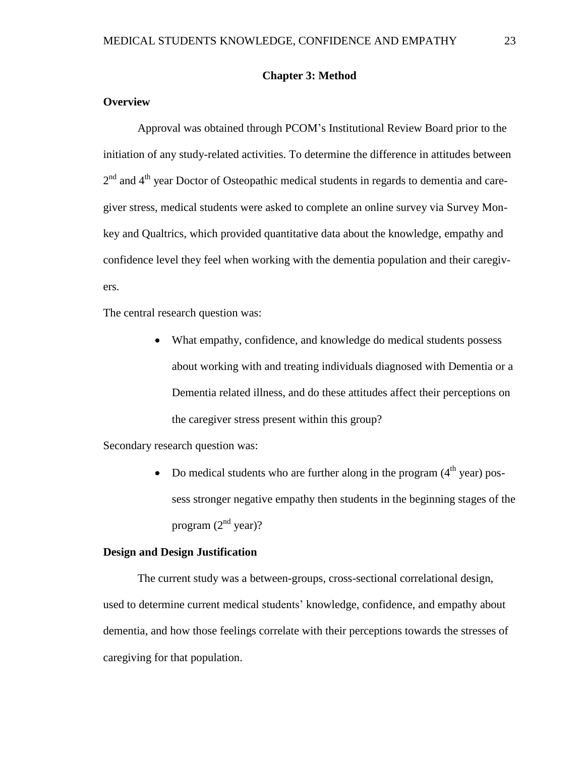#### **Chapter 3: Method**

#### **Overview**

Approval was obtained through PCOM's Institutional Review Board prior to the initiation of any study-related activities. To determine the difference in attitudes between 2<sup>nd</sup> and 4<sup>th</sup> year Doctor of Osteopathic medical students in regards to dementia and caregiver stress, medical students were asked to complete an online survey via Survey Monkey and Qualtrics, which provided quantitative data about the knowledge, empathy and confidence level they feel when working with the dementia population and their caregivers.

The central research question was:

• What empathy, confidence, and knowledge do medical students possess about working with and treating individuals diagnosed with Dementia or a Dementia related illness, and do these attitudes affect their perceptions on the caregiver stress present within this group?

Secondary research question was:

Do medical students who are further along in the program  $(4<sup>th</sup>$  year) possess stronger negative empathy then students in the beginning stages of the program  $(2<sup>nd</sup>$  year)?

#### **Design and Design Justification**

 The current study was a between-groups, cross-sectional correlational design, used to determine current medical students' knowledge, confidence, and empathy about dementia, and how those feelings correlate with their perceptions towards the stresses of caregiving for that population.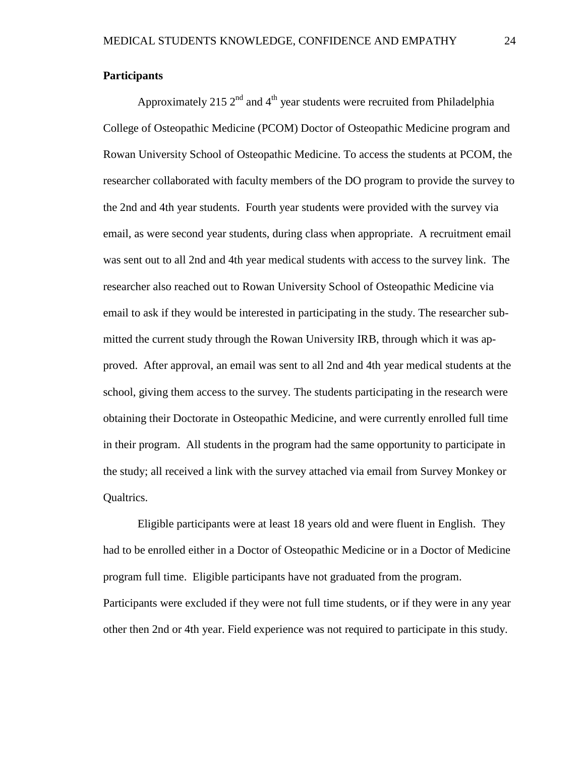#### **Participants**

Approximately 215  $2<sup>nd</sup>$  and 4<sup>th</sup> year students were recruited from Philadelphia College of Osteopathic Medicine (PCOM) Doctor of Osteopathic Medicine program and Rowan University School of Osteopathic Medicine. To access the students at PCOM, the researcher collaborated with faculty members of the DO program to provide the survey to the 2nd and 4th year students. Fourth year students were provided with the survey via email, as were second year students, during class when appropriate. A recruitment email was sent out to all 2nd and 4th year medical students with access to the survey link. The researcher also reached out to Rowan University School of Osteopathic Medicine via email to ask if they would be interested in participating in the study. The researcher submitted the current study through the Rowan University IRB, through which it was approved. After approval, an email was sent to all 2nd and 4th year medical students at the school, giving them access to the survey. The students participating in the research were obtaining their Doctorate in Osteopathic Medicine, and were currently enrolled full time in their program. All students in the program had the same opportunity to participate in the study; all received a link with the survey attached via email from Survey Monkey or Qualtrics.

 Eligible participants were at least 18 years old and were fluent in English. They had to be enrolled either in a Doctor of Osteopathic Medicine or in a Doctor of Medicine program full time. Eligible participants have not graduated from the program. Participants were excluded if they were not full time students, or if they were in any year other then 2nd or 4th year. Field experience was not required to participate in this study.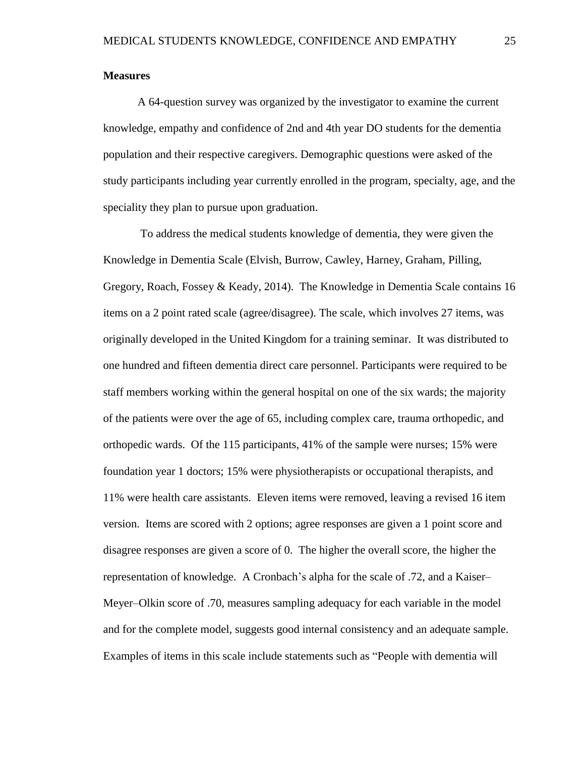#### **Measures**

A 64-question survey was organized by the investigator to examine the current knowledge, empathy and confidence of 2nd and 4th year DO students for the dementia population and their respective caregivers. Demographic questions were asked of the study participants including year currently enrolled in the program, specialty, age, and the speciality they plan to pursue upon graduation.

 To address the medical students knowledge of dementia, they were given the Knowledge in Dementia Scale (Elvish, Burrow, Cawley, Harney, Graham, Pilling, Gregory, Roach, Fossey & Keady, 2014). The Knowledge in Dementia Scale contains 16 items on a 2 point rated scale (agree/disagree). The scale, which involves 27 items, was originally developed in the United Kingdom for a training seminar. It was distributed to one hundred and fifteen dementia direct care personnel. Participants were required to be staff members working within the general hospital on one of the six wards; the majority of the patients were over the age of 65, including complex care, trauma orthopedic, and orthopedic wards. Of the 115 participants, 41% of the sample were nurses; 15% were foundation year 1 doctors; 15% were physiotherapists or occupational therapists, and 11% were health care assistants. Eleven items were removed, leaving a revised 16 item version. Items are scored with 2 options; agree responses are given a 1 point score and disagree responses are given a score of 0. The higher the overall score, the higher the representation of knowledge. A Cronbach's alpha for the scale of .72, and a Kaiser– Meyer–Olkin score of .70, measures sampling adequacy for each variable in the model and for the complete model, suggests good internal consistency and an adequate sample. Examples of items in this scale include statements such as "People with dementia will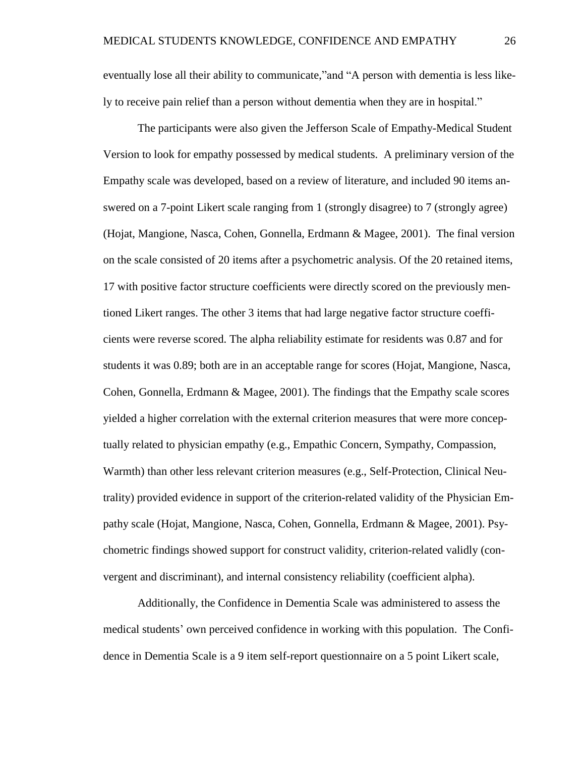eventually lose all their ability to communicate,"and "A person with dementia is less likely to receive pain relief than a person without dementia when they are in hospital."

The participants were also given the Jefferson Scale of Empathy-Medical Student Version to look for empathy possessed by medical students. A preliminary version of the Empathy scale was developed, based on a review of literature, and included 90 items answered on a 7-point Likert scale ranging from 1 (strongly disagree) to 7 (strongly agree) (Hojat, Mangione, Nasca, Cohen, Gonnella, Erdmann & Magee, 2001). The final version on the scale consisted of 20 items after a psychometric analysis. Of the 20 retained items, 17 with positive factor structure coefficients were directly scored on the previously mentioned Likert ranges. The other 3 items that had large negative factor structure coefficients were reverse scored. The alpha reliability estimate for residents was 0.87 and for students it was 0.89; both are in an acceptable range for scores (Hojat, Mangione, Nasca, Cohen, Gonnella, Erdmann & Magee, 2001). The findings that the Empathy scale scores yielded a higher correlation with the external criterion measures that were more conceptually related to physician empathy (e.g., Empathic Concern, Sympathy, Compassion, Warmth) than other less relevant criterion measures (e.g., Self-Protection, Clinical Neutrality) provided evidence in support of the criterion-related validity of the Physician Empathy scale (Hojat, Mangione, Nasca, Cohen, Gonnella, Erdmann & Magee, 2001). Psychometric findings showed support for construct validity, criterion-related validly (convergent and discriminant), and internal consistency reliability (coefficient alpha).

Additionally, the Confidence in Dementia Scale was administered to assess the medical students' own perceived confidence in working with this population. The Confidence in Dementia Scale is a 9 item self-report questionnaire on a 5 point Likert scale,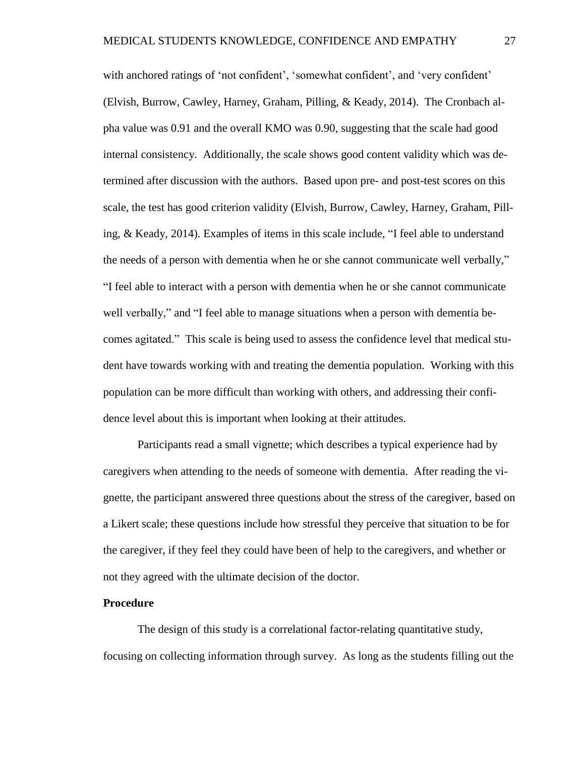with anchored ratings of 'not confident', 'somewhat confident', and 'very confident' (Elvish, Burrow, Cawley, Harney, Graham, Pilling, & Keady, 2014). The Cronbach alpha value was 0.91 and the overall KMO was 0.90, suggesting that the scale had good internal consistency. Additionally, the scale shows good content validity which was determined after discussion with the authors. Based upon pre- and post-test scores on this scale, the test has good criterion validity (Elvish, Burrow, Cawley, Harney, Graham, Pilling, & Keady, 2014). Examples of items in this scale include, "I feel able to understand the needs of a person with dementia when he or she cannot communicate well verbally," "I feel able to interact with a person with dementia when he or she cannot communicate well verbally," and "I feel able to manage situations when a person with dementia becomes agitated." This scale is being used to assess the confidence level that medical student have towards working with and treating the dementia population. Working with this population can be more difficult than working with others, and addressing their confidence level about this is important when looking at their attitudes.

Participants read a small vignette; which describes a typical experience had by caregivers when attending to the needs of someone with dementia. After reading the vignette, the participant answered three questions about the stress of the caregiver, based on a Likert scale; these questions include how stressful they perceive that situation to be for the caregiver, if they feel they could have been of help to the caregivers, and whether or not they agreed with the ultimate decision of the doctor.

#### **Procedure**

 The design of this study is a correlational factor-relating quantitative study, focusing on collecting information through survey. As long as the students filling out the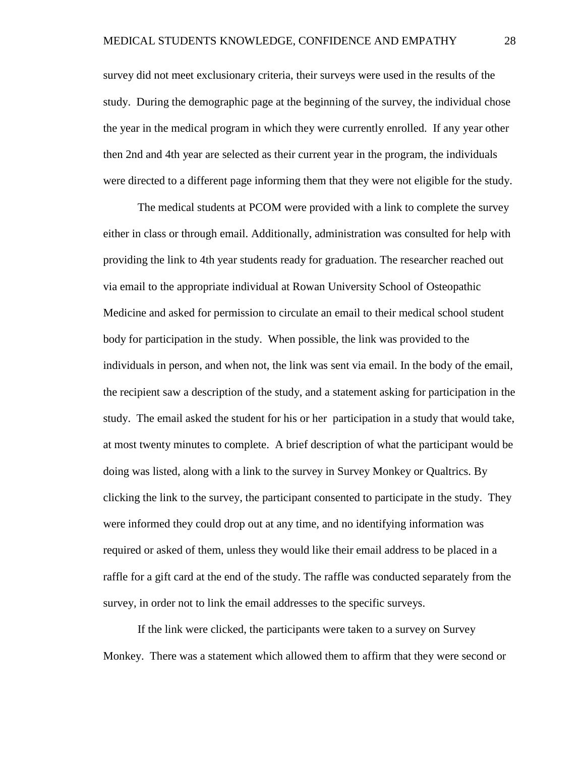survey did not meet exclusionary criteria, their surveys were used in the results of the study. During the demographic page at the beginning of the survey, the individual chose the year in the medical program in which they were currently enrolled. If any year other then 2nd and 4th year are selected as their current year in the program, the individuals were directed to a different page informing them that they were not eligible for the study.

 The medical students at PCOM were provided with a link to complete the survey either in class or through email. Additionally, administration was consulted for help with providing the link to 4th year students ready for graduation. The researcher reached out via email to the appropriate individual at Rowan University School of Osteopathic Medicine and asked for permission to circulate an email to their medical school student body for participation in the study. When possible, the link was provided to the individuals in person, and when not, the link was sent via email. In the body of the email, the recipient saw a description of the study, and a statement asking for participation in the study. The email asked the student for his or her participation in a study that would take, at most twenty minutes to complete. A brief description of what the participant would be doing was listed, along with a link to the survey in Survey Monkey or Qualtrics. By clicking the link to the survey, the participant consented to participate in the study. They were informed they could drop out at any time, and no identifying information was required or asked of them, unless they would like their email address to be placed in a raffle for a gift card at the end of the study. The raffle was conducted separately from the survey, in order not to link the email addresses to the specific surveys.

 If the link were clicked, the participants were taken to a survey on Survey Monkey. There was a statement which allowed them to affirm that they were second or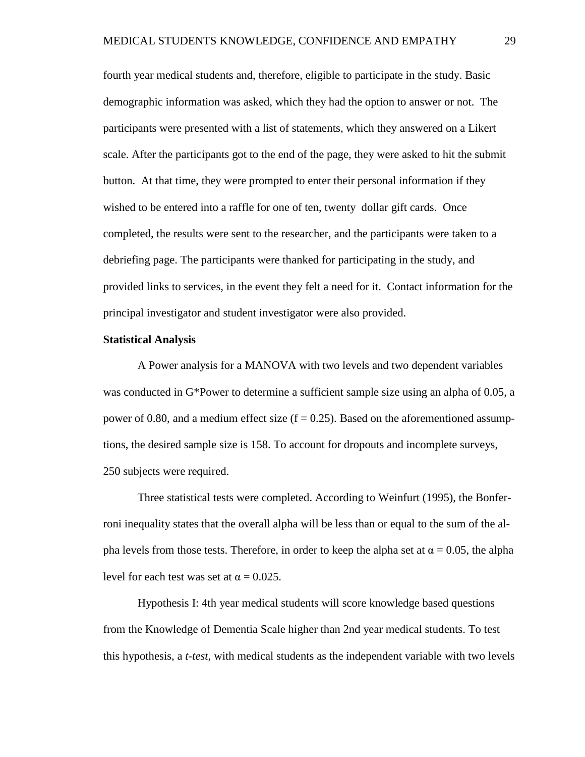fourth year medical students and, therefore, eligible to participate in the study. Basic demographic information was asked, which they had the option to answer or not. The participants were presented with a list of statements, which they answered on a Likert scale. After the participants got to the end of the page, they were asked to hit the submit button. At that time, they were prompted to enter their personal information if they wished to be entered into a raffle for one of ten, twenty dollar gift cards. Once completed, the results were sent to the researcher, and the participants were taken to a debriefing page. The participants were thanked for participating in the study, and provided links to services, in the event they felt a need for it. Contact information for the principal investigator and student investigator were also provided.

#### **Statistical Analysis**

A Power analysis for a MANOVA with two levels and two dependent variables was conducted in G\*Power to determine a sufficient sample size using an alpha of 0.05, a power of 0.80, and a medium effect size ( $f = 0.25$ ). Based on the aforementioned assumptions, the desired sample size is 158. To account for dropouts and incomplete surveys, 250 subjects were required.

Three statistical tests were completed. According to Weinfurt (1995), the Bonferroni inequality states that the overall alpha will be less than or equal to the sum of the alpha levels from those tests. Therefore, in order to keep the alpha set at  $\alpha = 0.05$ , the alpha level for each test was set at  $\alpha = 0.025$ .

Hypothesis I: 4th year medical students will score knowledge based questions from the Knowledge of Dementia Scale higher than 2nd year medical students. To test this hypothesis, a *t-test*, with medical students as the independent variable with two levels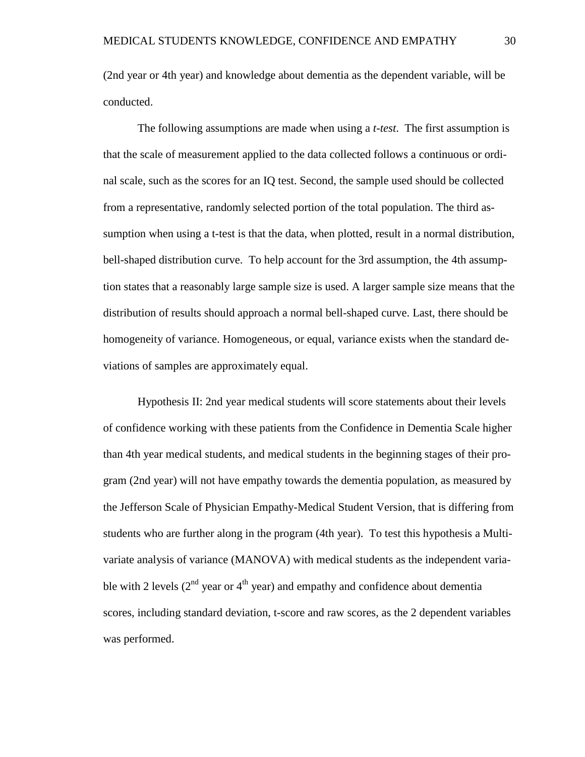(2nd year or 4th year) and knowledge about dementia as the dependent variable, will be conducted.

The following assumptions are made when using a *t-test*. The first assumption is that the scale of measurement applied to the data collected follows a continuous or ordinal scale, such as the scores for an IQ test. Second, the sample used should be collected from a representative, randomly selected portion of the total population. The third assumption when using a t-test is that the data, when plotted, result in a normal distribution, bell-shaped distribution curve. To help account for the 3rd assumption, the 4th assumption states that a reasonably large sample size is used. A larger sample size means that the distribution of results should approach a normal bell-shaped curve. Last, there should be homogeneity of variance. Homogeneous, or equal, variance exists when the standard deviations of samples are approximately equal.

Hypothesis II: 2nd year medical students will score statements about their levels of confidence working with these patients from the Confidence in Dementia Scale higher than 4th year medical students, and medical students in the beginning stages of their program (2nd year) will not have empathy towards the dementia population, as measured by the Jefferson Scale of Physician Empathy-Medical Student Version, that is differing from students who are further along in the program (4th year). To test this hypothesis a Multivariate analysis of variance (MANOVA) with medical students as the independent variable with 2 levels ( $2<sup>nd</sup>$  year or  $4<sup>th</sup>$  year) and empathy and confidence about dementia scores, including standard deviation, t-score and raw scores, as the 2 dependent variables was performed.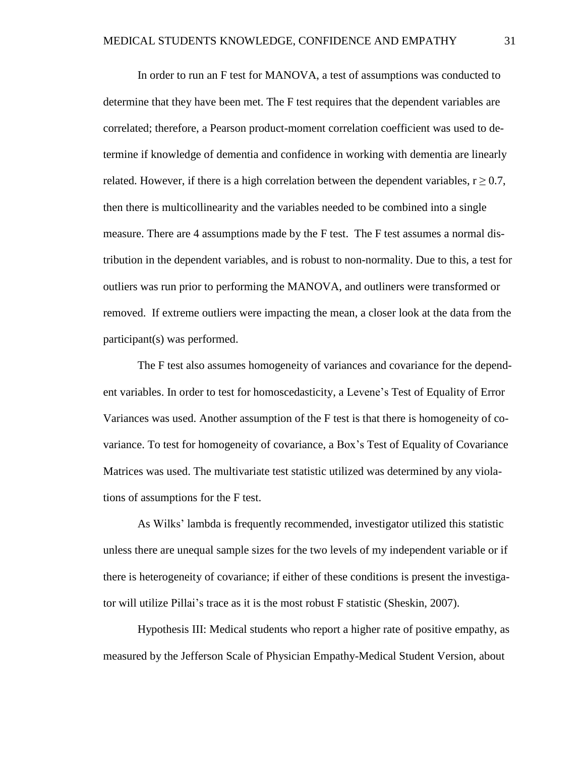In order to run an F test for MANOVA, a test of assumptions was conducted to determine that they have been met. The F test requires that the dependent variables are correlated; therefore, a Pearson product-moment correlation coefficient was used to determine if knowledge of dementia and confidence in working with dementia are linearly related. However, if there is a high correlation between the dependent variables,  $r \geq 0.7$ , then there is multicollinearity and the variables needed to be combined into a single measure. There are 4 assumptions made by the F test. The F test assumes a normal distribution in the dependent variables, and is robust to non-normality. Due to this, a test for outliers was run prior to performing the MANOVA, and outliners were transformed or removed. If extreme outliers were impacting the mean, a closer look at the data from the participant(s) was performed.

The F test also assumes homogeneity of variances and covariance for the dependent variables. In order to test for homoscedasticity, a Levene's Test of Equality of Error Variances was used. Another assumption of the F test is that there is homogeneity of covariance. To test for homogeneity of covariance, a Box's Test of Equality of Covariance Matrices was used. The multivariate test statistic utilized was determined by any violations of assumptions for the F test.

As Wilks' lambda is frequently recommended, investigator utilized this statistic unless there are unequal sample sizes for the two levels of my independent variable or if there is heterogeneity of covariance; if either of these conditions is present the investigator will utilize Pillai's trace as it is the most robust F statistic (Sheskin, 2007).

Hypothesis III: Medical students who report a higher rate of positive empathy, as measured by the Jefferson Scale of Physician Empathy-Medical Student Version, about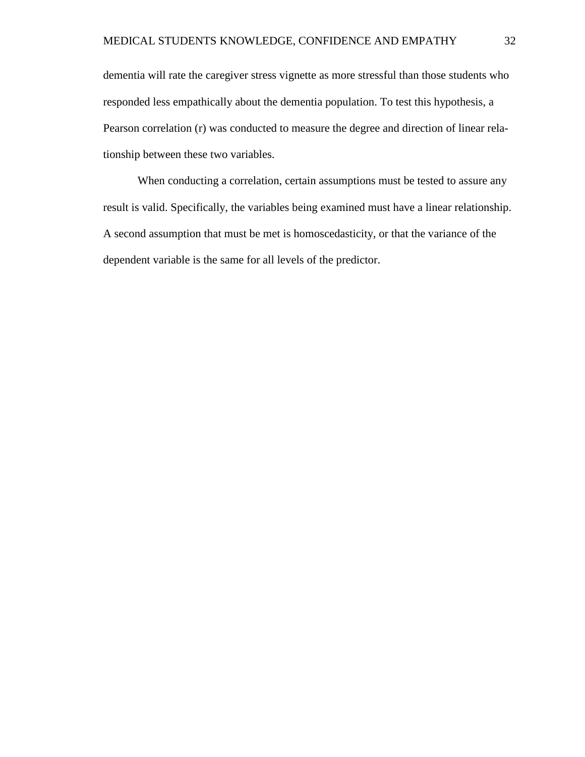dementia will rate the caregiver stress vignette as more stressful than those students who responded less empathically about the dementia population. To test this hypothesis, a Pearson correlation (r) was conducted to measure the degree and direction of linear relationship between these two variables.

When conducting a correlation, certain assumptions must be tested to assure any result is valid. Specifically, the variables being examined must have a linear relationship. A second assumption that must be met is homoscedasticity, or that the variance of the dependent variable is the same for all levels of the predictor.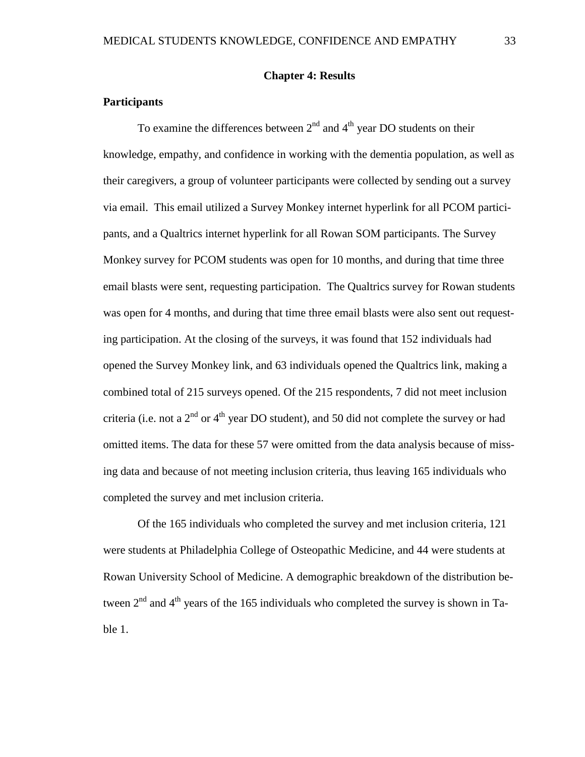#### **Chapter 4: Results**

#### **Participants**

To examine the differences between  $2<sup>nd</sup>$  and  $4<sup>th</sup>$  year DO students on their knowledge, empathy, and confidence in working with the dementia population, as well as their caregivers, a group of volunteer participants were collected by sending out a survey via email. This email utilized a Survey Monkey internet hyperlink for all PCOM participants, and a Qualtrics internet hyperlink for all Rowan SOM participants. The Survey Monkey survey for PCOM students was open for 10 months, and during that time three email blasts were sent, requesting participation. The Qualtrics survey for Rowan students was open for 4 months, and during that time three email blasts were also sent out requesting participation. At the closing of the surveys, it was found that 152 individuals had opened the Survey Monkey link, and 63 individuals opened the Qualtrics link, making a combined total of 215 surveys opened. Of the 215 respondents, 7 did not meet inclusion criteria (i.e. not a  $2<sup>nd</sup>$  or  $4<sup>th</sup>$  year DO student), and 50 did not complete the survey or had omitted items. The data for these 57 were omitted from the data analysis because of missing data and because of not meeting inclusion criteria, thus leaving 165 individuals who completed the survey and met inclusion criteria.

Of the 165 individuals who completed the survey and met inclusion criteria, 121 were students at Philadelphia College of Osteopathic Medicine, and 44 were students at Rowan University School of Medicine. A demographic breakdown of the distribution between  $2<sup>nd</sup>$  and  $4<sup>th</sup>$  years of the 165 individuals who completed the survey is shown in Table 1.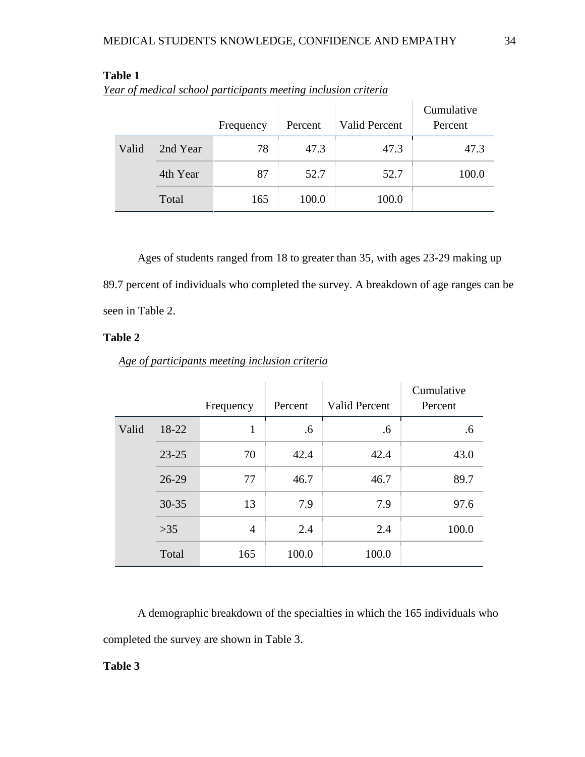|       |          | Frequency | Percent | <b>Valid Percent</b> | Cumulative<br>Percent |
|-------|----------|-----------|---------|----------------------|-----------------------|
| Valid | 2nd Year | 78        | 47.3    | 47.3                 | 47.3                  |
|       | 4th Year | 87        | 52.7    | 52.7                 | 100.0                 |
|       | Total    | 165       | 100.0   | 100.0                |                       |

| anlı |  |
|------|--|
|------|--|

*Year of medical school participants meeting inclusion criteria*

Ages of students ranged from 18 to greater than 35, with ages 23-29 making up 89.7 percent of individuals who completed the survey. A breakdown of age ranges can be seen in Table 2.

## **Table 2**

|  |  |  |  |  |  | Age of participants meeting inclusion criteria |  |  |  |  |
|--|--|--|--|--|--|------------------------------------------------|--|--|--|--|
|--|--|--|--|--|--|------------------------------------------------|--|--|--|--|

|       |           | Frequency | Percent | <b>Valid Percent</b> | Cumulative<br>Percent |
|-------|-----------|-----------|---------|----------------------|-----------------------|
| Valid | 18-22     | 1         | .6      | .6                   | .6                    |
|       | $23 - 25$ | 70        | 42.4    | 42.4                 | 43.0                  |
|       | $26-29$   | 77        | 46.7    | 46.7                 | 89.7                  |
|       | 30-35     | 13        | 7.9     | 7.9                  | 97.6                  |
|       | $>35$     | 4         | 2.4     | 2.4                  | 100.0                 |
|       | Total     | 165       | 100.0   | 100.0                |                       |

A demographic breakdown of the specialties in which the 165 individuals who completed the survey are shown in Table 3.

#### **Table 3**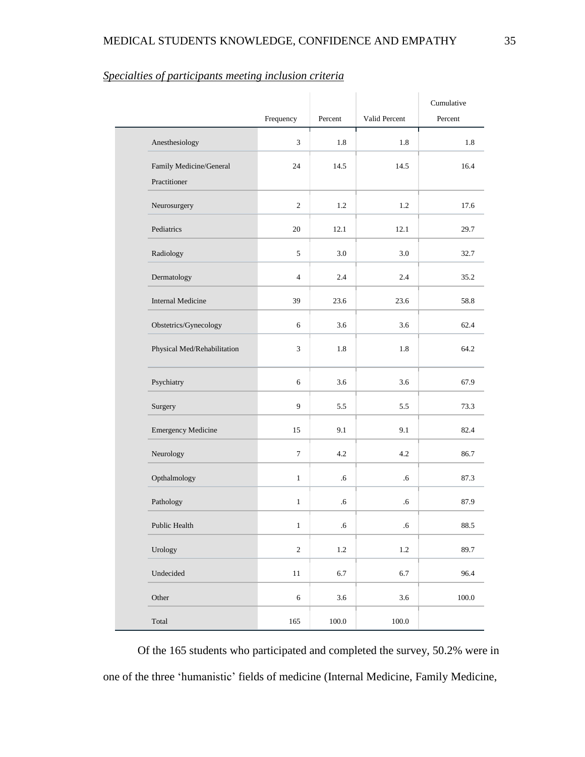|                                         | Frequency        | Percent   | Valid Percent | Cumulative<br>Percent |
|-----------------------------------------|------------------|-----------|---------------|-----------------------|
| Anesthesiology                          | 3                | 1.8       | 1.8           | 1.8                   |
| Family Medicine/General<br>Practitioner | 24               | 14.5      | 14.5          | 16.4                  |
| Neurosurgery                            | $\mathbf{2}$     | 1.2       | 1.2           | 17.6                  |
| Pediatrics                              | 20               | 12.1      | 12.1          | 29.7                  |
| Radiology                               | $\sqrt{5}$       | 3.0       | 3.0           | 32.7                  |
| Dermatology                             | $\overline{4}$   | 2.4       | 2.4           | 35.2                  |
| <b>Internal Medicine</b>                | 39               | 23.6      | 23.6          | 58.8                  |
| Obstetrics/Gynecology                   | 6                | 3.6       | 3.6           | 62.4                  |
| Physical Med/Rehabilitation             | $\overline{3}$   | 1.8       | 1.8           | 64.2                  |
| Psychiatry                              | 6                | 3.6       | 3.6           | 67.9                  |
| Surgery                                 | 9                | 5.5       | 5.5           | 73.3                  |
| <b>Emergency Medicine</b>               | 15               | 9.1       | 9.1           | 82.4                  |
| Neurology                               | $\boldsymbol{7}$ | 4.2       | 4.2           | 86.7                  |
| Opthalmology                            | $\mathbf{1}$     | $.6\,$    | .6            | 87.3                  |
| Pathology                               | $\mathbf{1}$     | .6        | .6            | 87.9                  |
| Public Health                           | $\mathbf{1}$     | .6        | $.6\,$        | 88.5                  |
| Urology                                 | $\sqrt{2}$       | $1.2\,$   | $1.2\,$       | 89.7                  |
| Undecided                               | $11\,$           | 6.7       | 6.7           | 96.4                  |
| Other                                   | $\sqrt{6}$       | $3.6\,$   | $3.6\,$       | $100.0\,$             |
| Total                                   | $165\,$          | $100.0\,$ | $100.0\,$     |                       |

## *Specialties of participants meeting inclusion criteria*

Of the 165 students who participated and completed the survey, 50.2% were in one of the three 'humanistic' fields of medicine (Internal Medicine, Family Medicine,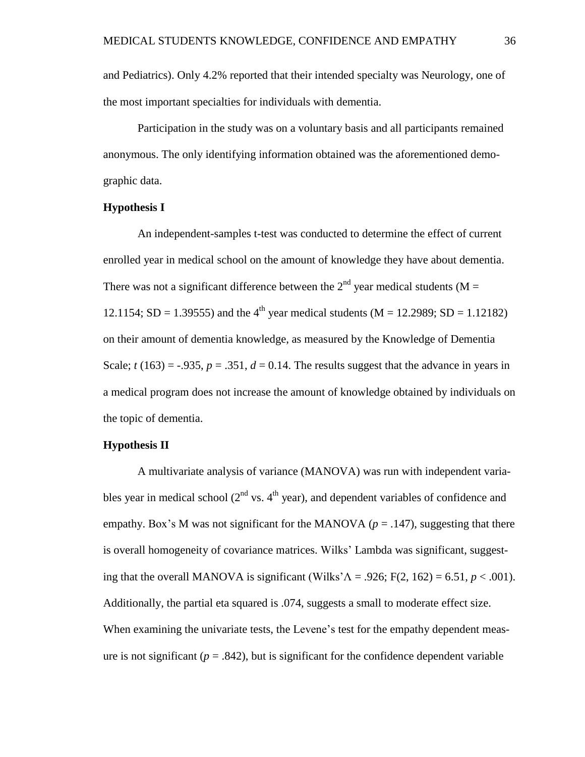and Pediatrics). Only 4.2% reported that their intended specialty was Neurology, one of the most important specialties for individuals with dementia.

Participation in the study was on a voluntary basis and all participants remained anonymous. The only identifying information obtained was the aforementioned demographic data.

#### **Hypothesis I**

An independent-samples t-test was conducted to determine the effect of current enrolled year in medical school on the amount of knowledge they have about dementia. There was not a significant difference between the  $2<sup>nd</sup>$  year medical students (M = 12.1154; SD = 1.39555) and the 4<sup>th</sup> year medical students (M = 12.2989; SD = 1.12182) on their amount of dementia knowledge, as measured by the Knowledge of Dementia Scale;  $t(163) = -0.935$ ,  $p = 0.351$ ,  $d = 0.14$ . The results suggest that the advance in years in a medical program does not increase the amount of knowledge obtained by individuals on the topic of dementia.

#### **Hypothesis II**

A multivariate analysis of variance (MANOVA) was run with independent variables year in medical school ( $2<sup>nd</sup>$  vs.  $4<sup>th</sup>$  year), and dependent variables of confidence and empathy. Box's M was not significant for the MANOVA ( $p = .147$ ), suggesting that there is overall homogeneity of covariance matrices. Wilks' Lambda was significant, suggesting that the overall MANOVA is significant (Wilks' $\Lambda$  = .926; F(2, 162) = 6.51, *p* < .001). Additionally, the partial eta squared is .074, suggests a small to moderate effect size. When examining the univariate tests, the Levene's test for the empathy dependent measure is not significant ( $p = .842$ ), but is significant for the confidence dependent variable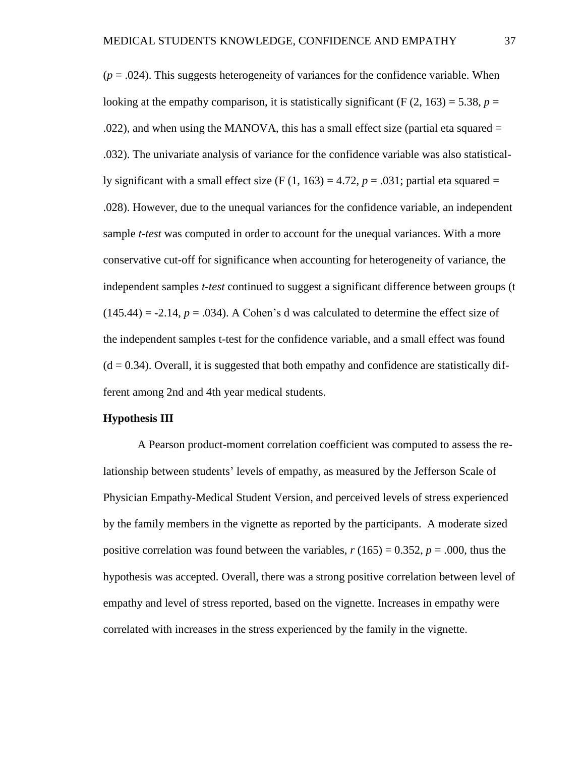$(p = .024)$ . This suggests heterogeneity of variances for the confidence variable. When looking at the empathy comparison, it is statistically significant (F  $(2, 163) = 5.38$ ,  $p =$  $.022$ ), and when using the MANOVA, this has a small effect size (partial eta squared  $=$ .032). The univariate analysis of variance for the confidence variable was also statistically significant with a small effect size  $(F (1, 163) = 4.72, p = .031$ ; partial eta squared = .028). However, due to the unequal variances for the confidence variable, an independent sample *t-test* was computed in order to account for the unequal variances. With a more conservative cut-off for significance when accounting for heterogeneity of variance, the independent samples *t-test* continued to suggest a significant difference between groups (t  $(145.44) = -2.14$ ,  $p = .034$ ). A Cohen's d was calculated to determine the effect size of the independent samples t-test for the confidence variable, and a small effect was found  $(d = 0.34)$ . Overall, it is suggested that both empathy and confidence are statistically different among 2nd and 4th year medical students.

#### **Hypothesis III**

A Pearson product-moment correlation coefficient was computed to assess the relationship between students' levels of empathy, as measured by the Jefferson Scale of Physician Empathy-Medical Student Version, and perceived levels of stress experienced by the family members in the vignette as reported by the participants. A moderate sized positive correlation was found between the variables,  $r(165) = 0.352$ ,  $p = .000$ , thus the hypothesis was accepted. Overall, there was a strong positive correlation between level of empathy and level of stress reported, based on the vignette. Increases in empathy were correlated with increases in the stress experienced by the family in the vignette.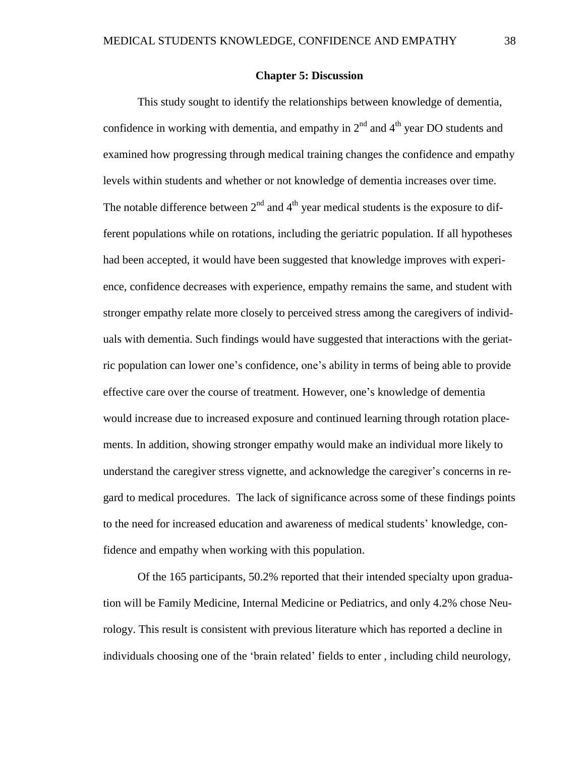#### **Chapter 5: Discussion**

This study sought to identify the relationships between knowledge of dementia, confidence in working with dementia, and empathy in  $2<sup>nd</sup>$  and  $4<sup>th</sup>$  year DO students and examined how progressing through medical training changes the confidence and empathy levels within students and whether or not knowledge of dementia increases over time. The notable difference between  $2<sup>nd</sup>$  and  $4<sup>th</sup>$  year medical students is the exposure to different populations while on rotations, including the geriatric population. If all hypotheses had been accepted, it would have been suggested that knowledge improves with experience, confidence decreases with experience, empathy remains the same, and student with stronger empathy relate more closely to perceived stress among the caregivers of individuals with dementia. Such findings would have suggested that interactions with the geriatric population can lower one's confidence, one's ability in terms of being able to provide effective care over the course of treatment. However, one's knowledge of dementia would increase due to increased exposure and continued learning through rotation placements. In addition, showing stronger empathy would make an individual more likely to understand the caregiver stress vignette, and acknowledge the caregiver's concerns in regard to medical procedures. The lack of significance across some of these findings points to the need for increased education and awareness of medical students' knowledge, confidence and empathy when working with this population.

Of the 165 participants, 50.2% reported that their intended specialty upon graduation will be Family Medicine, Internal Medicine or Pediatrics, and only 4.2% chose Neurology. This result is consistent with previous literature which has reported a decline in individuals choosing one of the 'brain related' fields to enter , including child neurology,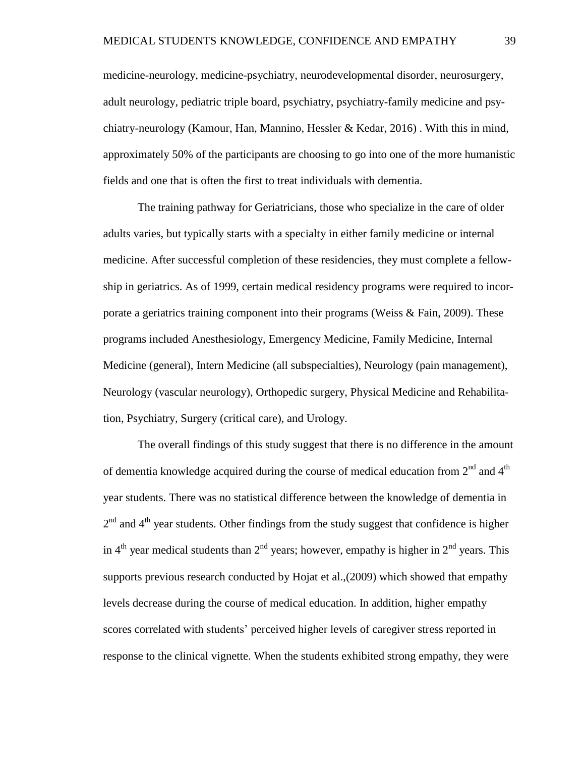medicine-neurology, medicine-psychiatry, neurodevelopmental disorder, neurosurgery, adult neurology, pediatric triple board, psychiatry, psychiatry-family medicine and psychiatry-neurology (Kamour, Han, Mannino, Hessler & Kedar, 2016). With this in mind, approximately 50% of the participants are choosing to go into one of the more humanistic fields and one that is often the first to treat individuals with dementia.

The training pathway for Geriatricians, those who specialize in the care of older adults varies, but typically starts with a specialty in either family medicine or internal medicine. After successful completion of these residencies, they must complete a fellowship in geriatrics. As of 1999, certain medical residency programs were required to incorporate a geriatrics training component into their programs (Weiss & Fain, 2009). These programs included Anesthesiology, Emergency Medicine, Family Medicine, Internal Medicine (general), Intern Medicine (all subspecialties), Neurology (pain management), Neurology (vascular neurology), Orthopedic surgery, Physical Medicine and Rehabilitation, Psychiatry, Surgery (critical care), and Urology.

The overall findings of this study suggest that there is no difference in the amount of dementia knowledge acquired during the course of medical education from  $2^{nd}$  and  $4^{th}$ year students. There was no statistical difference between the knowledge of dementia in  $2<sup>nd</sup>$  and  $4<sup>th</sup>$  year students. Other findings from the study suggest that confidence is higher in 4<sup>th</sup> year medical students than 2<sup>nd</sup> years; however, empathy is higher in 2<sup>nd</sup> years. This supports previous research conducted by Hojat et al.,(2009) which showed that empathy levels decrease during the course of medical education. In addition, higher empathy scores correlated with students' perceived higher levels of caregiver stress reported in response to the clinical vignette. When the students exhibited strong empathy, they were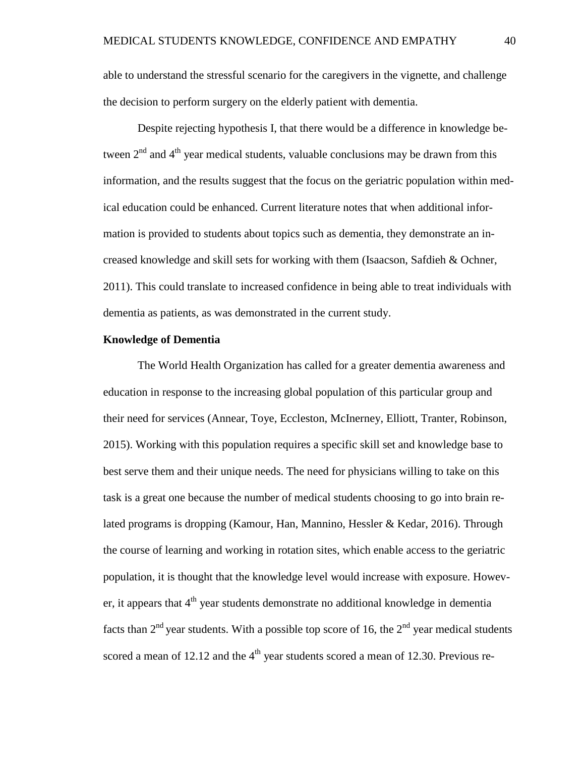able to understand the stressful scenario for the caregivers in the vignette, and challenge the decision to perform surgery on the elderly patient with dementia.

Despite rejecting hypothesis I, that there would be a difference in knowledge between  $2<sup>nd</sup>$  and  $4<sup>th</sup>$  year medical students, valuable conclusions may be drawn from this information, and the results suggest that the focus on the geriatric population within medical education could be enhanced. Current literature notes that when additional information is provided to students about topics such as dementia, they demonstrate an increased knowledge and skill sets for working with them (Isaacson, Safdieh & Ochner, 2011). This could translate to increased confidence in being able to treat individuals with dementia as patients, as was demonstrated in the current study.

#### **Knowledge of Dementia**

The World Health Organization has called for a greater dementia awareness and education in response to the increasing global population of this particular group and their need for services (Annear, Toye, Eccleston, McInerney, Elliott, Tranter, Robinson, 2015). Working with this population requires a specific skill set and knowledge base to best serve them and their unique needs. The need for physicians willing to take on this task is a great one because the number of medical students choosing to go into brain related programs is dropping (Kamour, Han, Mannino, Hessler & Kedar, 2016). Through the course of learning and working in rotation sites, which enable access to the geriatric population, it is thought that the knowledge level would increase with exposure. However, it appears that  $4<sup>th</sup>$  year students demonstrate no additional knowledge in dementia facts than  $2^{nd}$  year students. With a possible top score of 16, the  $2^{nd}$  year medical students scored a mean of 12.12 and the  $4<sup>th</sup>$  year students scored a mean of 12.30. Previous re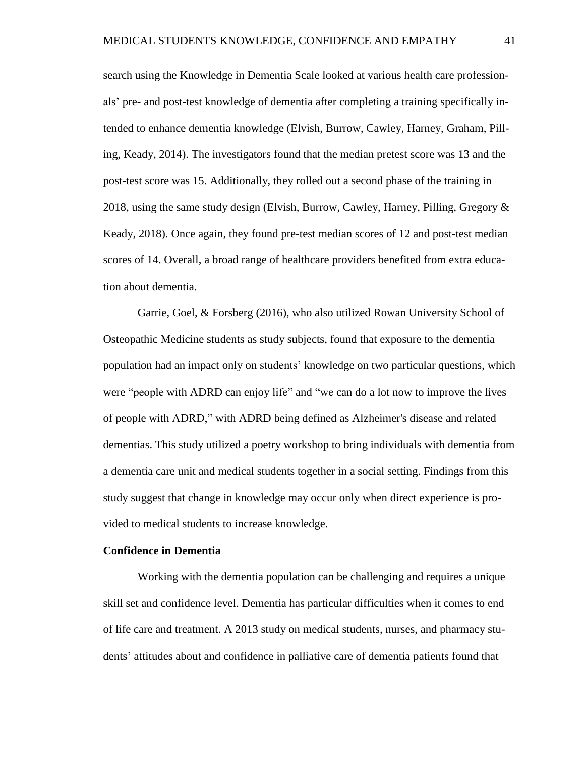search using the Knowledge in Dementia Scale looked at various health care professionals' pre- and post-test knowledge of dementia after completing a training specifically intended to enhance dementia knowledge (Elvish, Burrow, Cawley, Harney, Graham, Pilling, Keady, 2014). The investigators found that the median pretest score was 13 and the post-test score was 15. Additionally, they rolled out a second phase of the training in 2018, using the same study design (Elvish, Burrow, Cawley, Harney, Pilling, Gregory & Keady, 2018). Once again, they found pre-test median scores of 12 and post-test median scores of 14. Overall, a broad range of healthcare providers benefited from extra education about dementia.

Garrie, Goel, & Forsberg (2016), who also utilized Rowan University School of Osteopathic Medicine students as study subjects, found that exposure to the dementia population had an impact only on students' knowledge on two particular questions, which were "people with ADRD can enjoy life" and "we can do a lot now to improve the lives of people with ADRD," with ADRD being defined as Alzheimer's disease and related dementias. This study utilized a poetry workshop to bring individuals with dementia from a dementia care unit and medical students together in a social setting. Findings from this study suggest that change in knowledge may occur only when direct experience is provided to medical students to increase knowledge.

#### **Confidence in Dementia**

Working with the dementia population can be challenging and requires a unique skill set and confidence level. Dementia has particular difficulties when it comes to end of life care and treatment. A 2013 study on medical students, nurses, and pharmacy students' attitudes about and confidence in palliative care of dementia patients found that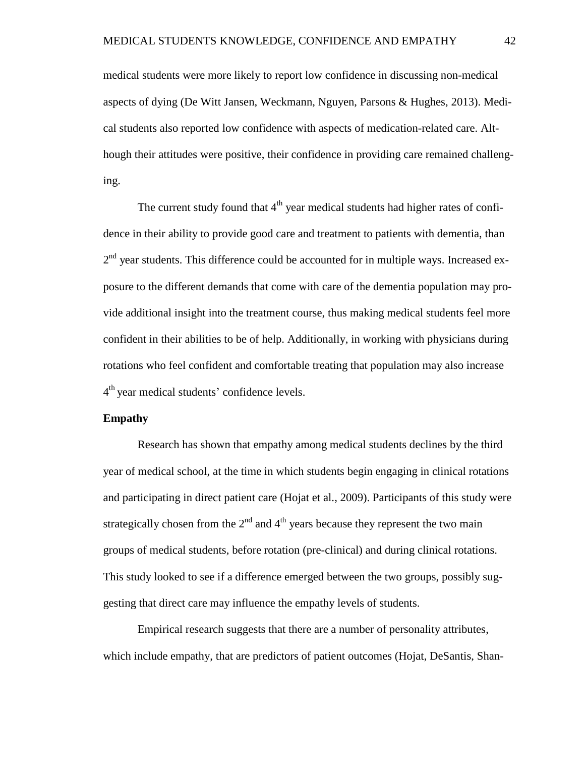medical students were more likely to report low confidence in discussing non-medical aspects of dying (De Witt Jansen, Weckmann, Nguyen, Parsons & Hughes, 2013). Medical students also reported low confidence with aspects of medication-related care. Although their attitudes were positive, their confidence in providing care remained challenging.

The current study found that  $4<sup>th</sup>$  year medical students had higher rates of confidence in their ability to provide good care and treatment to patients with dementia, than  $2<sup>nd</sup>$  year students. This difference could be accounted for in multiple ways. Increased exposure to the different demands that come with care of the dementia population may provide additional insight into the treatment course, thus making medical students feel more confident in their abilities to be of help. Additionally, in working with physicians during rotations who feel confident and comfortable treating that population may also increase 4<sup>th</sup> year medical students' confidence levels.

#### **Empathy**

Research has shown that empathy among medical students declines by the third year of medical school, at the time in which students begin engaging in clinical rotations and participating in direct patient care (Hojat et al., 2009). Participants of this study were strategically chosen from the  $2<sup>nd</sup>$  and  $4<sup>th</sup>$  years because they represent the two main groups of medical students, before rotation (pre-clinical) and during clinical rotations. This study looked to see if a difference emerged between the two groups, possibly suggesting that direct care may influence the empathy levels of students.

Empirical research suggests that there are a number of personality attributes, which include empathy, that are predictors of patient outcomes (Hojat, DeSantis, Shan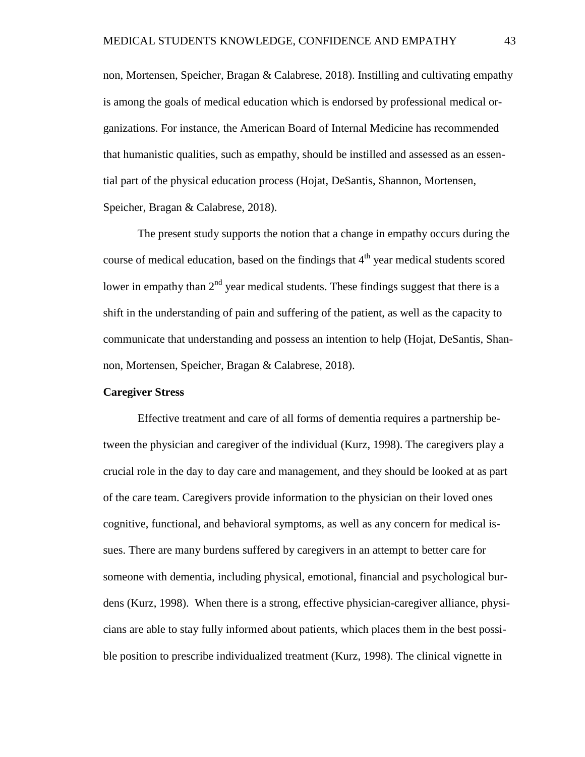non, Mortensen, Speicher, Bragan & Calabrese, 2018). Instilling and cultivating empathy is among the goals of medical education which is endorsed by professional medical organizations. For instance, the American Board of Internal Medicine has recommended that humanistic qualities, such as empathy, should be instilled and assessed as an essential part of the physical education process (Hojat, DeSantis, Shannon, Mortensen, Speicher, Bragan & Calabrese, 2018).

The present study supports the notion that a change in empathy occurs during the course of medical education, based on the findings that  $4<sup>th</sup>$  year medical students scored lower in empathy than  $2<sup>nd</sup>$  year medical students. These findings suggest that there is a shift in the understanding of pain and suffering of the patient, as well as the capacity to communicate that understanding and possess an intention to help (Hojat, DeSantis, Shannon, Mortensen, Speicher, Bragan & Calabrese, 2018).

#### **Caregiver Stress**

Effective treatment and care of all forms of dementia requires a partnership between the physician and caregiver of the individual (Kurz, 1998). The caregivers play a crucial role in the day to day care and management, and they should be looked at as part of the care team. Caregivers provide information to the physician on their loved ones cognitive, functional, and behavioral symptoms, as well as any concern for medical issues. There are many burdens suffered by caregivers in an attempt to better care for someone with dementia, including physical, emotional, financial and psychological burdens (Kurz, 1998). When there is a strong, effective physician-caregiver alliance, physicians are able to stay fully informed about patients, which places them in the best possible position to prescribe individualized treatment (Kurz, 1998). The clinical vignette in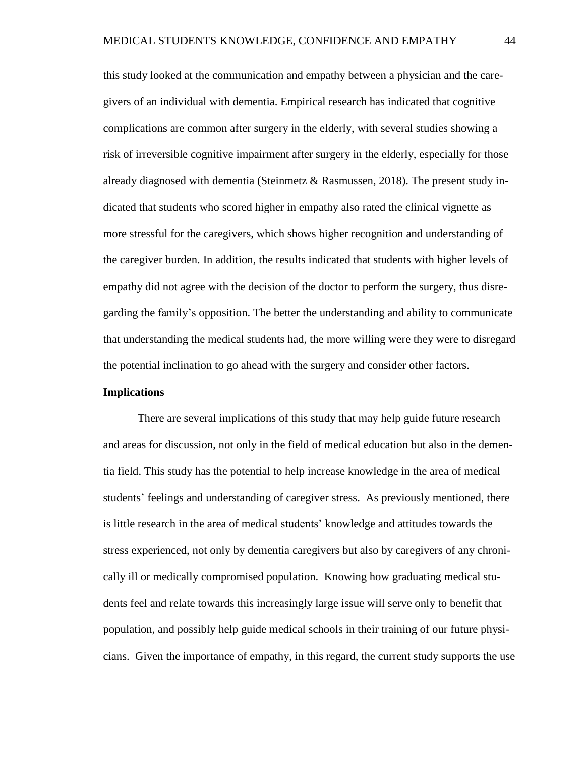this study looked at the communication and empathy between a physician and the caregivers of an individual with dementia. Empirical research has indicated that cognitive complications are common after surgery in the elderly, with several studies showing a risk of irreversible cognitive impairment after surgery in the elderly, especially for those already diagnosed with dementia (Steinmetz  $\&$  Rasmussen, 2018). The present study indicated that students who scored higher in empathy also rated the clinical vignette as more stressful for the caregivers, which shows higher recognition and understanding of the caregiver burden. In addition, the results indicated that students with higher levels of empathy did not agree with the decision of the doctor to perform the surgery, thus disregarding the family's opposition. The better the understanding and ability to communicate that understanding the medical students had, the more willing were they were to disregard the potential inclination to go ahead with the surgery and consider other factors.

#### **Implications**

There are several implications of this study that may help guide future research and areas for discussion, not only in the field of medical education but also in the dementia field. This study has the potential to help increase knowledge in the area of medical students' feelings and understanding of caregiver stress. As previously mentioned, there is little research in the area of medical students' knowledge and attitudes towards the stress experienced, not only by dementia caregivers but also by caregivers of any chronically ill or medically compromised population. Knowing how graduating medical students feel and relate towards this increasingly large issue will serve only to benefit that population, and possibly help guide medical schools in their training of our future physicians. Given the importance of empathy, in this regard, the current study supports the use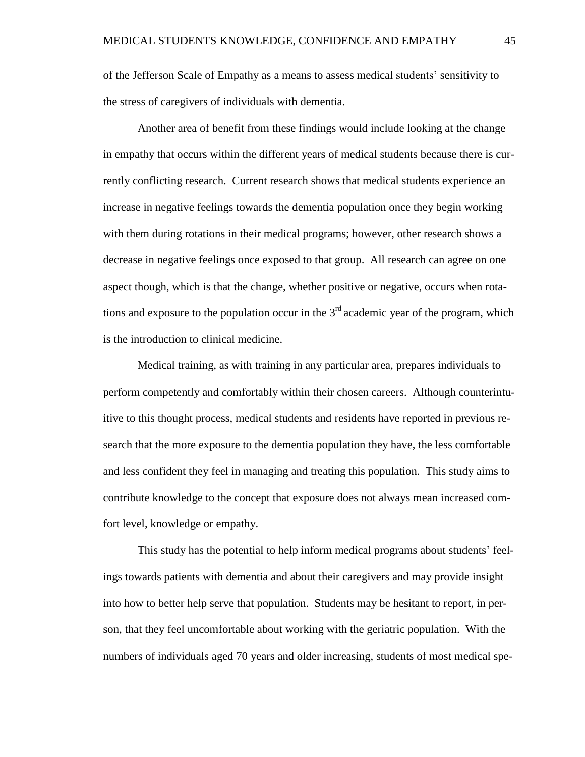of the Jefferson Scale of Empathy as a means to assess medical students' sensitivity to the stress of caregivers of individuals with dementia.

Another area of benefit from these findings would include looking at the change in empathy that occurs within the different years of medical students because there is currently conflicting research. Current research shows that medical students experience an increase in negative feelings towards the dementia population once they begin working with them during rotations in their medical programs; however, other research shows a decrease in negative feelings once exposed to that group. All research can agree on one aspect though, which is that the change, whether positive or negative, occurs when rotations and exposure to the population occur in the  $3<sup>rd</sup>$  academic year of the program, which is the introduction to clinical medicine.

Medical training, as with training in any particular area, prepares individuals to perform competently and comfortably within their chosen careers. Although counterintuitive to this thought process, medical students and residents have reported in previous research that the more exposure to the dementia population they have, the less comfortable and less confident they feel in managing and treating this population. This study aims to contribute knowledge to the concept that exposure does not always mean increased comfort level, knowledge or empathy.

This study has the potential to help inform medical programs about students' feelings towards patients with dementia and about their caregivers and may provide insight into how to better help serve that population. Students may be hesitant to report, in person, that they feel uncomfortable about working with the geriatric population. With the numbers of individuals aged 70 years and older increasing, students of most medical spe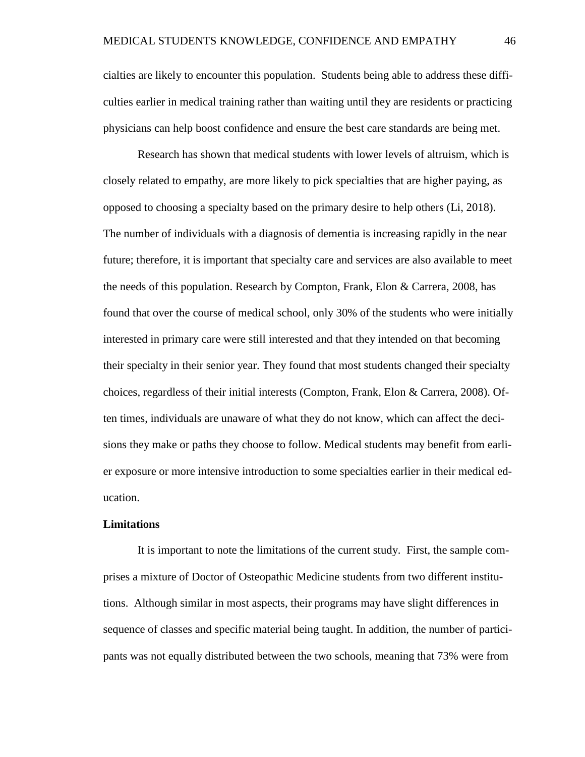cialties are likely to encounter this population. Students being able to address these difficulties earlier in medical training rather than waiting until they are residents or practicing physicians can help boost confidence and ensure the best care standards are being met.

Research has shown that medical students with lower levels of altruism, which is closely related to empathy, are more likely to pick specialties that are higher paying, as opposed to choosing a specialty based on the primary desire to help others (Li, 2018). The number of individuals with a diagnosis of dementia is increasing rapidly in the near future; therefore, it is important that specialty care and services are also available to meet the needs of this population. Research by Compton, Frank, Elon & Carrera, 2008, has found that over the course of medical school, only 30% of the students who were initially interested in primary care were still interested and that they intended on that becoming their specialty in their senior year. They found that most students changed their specialty choices, regardless of their initial interests (Compton, Frank, Elon & Carrera, 2008). Often times, individuals are unaware of what they do not know, which can affect the decisions they make or paths they choose to follow. Medical students may benefit from earlier exposure or more intensive introduction to some specialties earlier in their medical education.

#### **Limitations**

It is important to note the limitations of the current study. First, the sample comprises a mixture of Doctor of Osteopathic Medicine students from two different institutions. Although similar in most aspects, their programs may have slight differences in sequence of classes and specific material being taught. In addition, the number of participants was not equally distributed between the two schools, meaning that 73% were from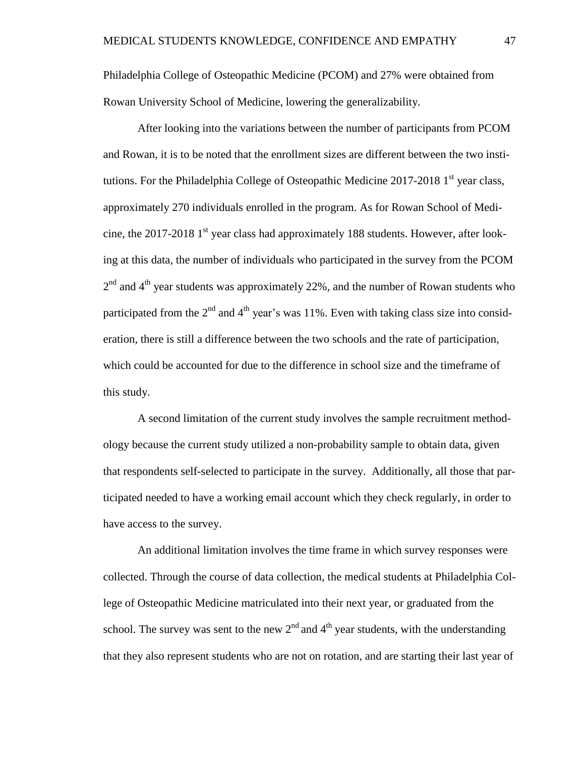Philadelphia College of Osteopathic Medicine (PCOM) and 27% were obtained from Rowan University School of Medicine, lowering the generalizability.

After looking into the variations between the number of participants from PCOM and Rowan, it is to be noted that the enrollment sizes are different between the two institutions. For the Philadelphia College of Osteopathic Medicine 2017-2018 1<sup>st</sup> year class, approximately 270 individuals enrolled in the program. As for Rowan School of Medicine, the 2017-2018 1<sup>st</sup> year class had approximately 188 students. However, after looking at this data, the number of individuals who participated in the survey from the PCOM  $2<sup>nd</sup>$  and  $4<sup>th</sup>$  year students was approximately 22%, and the number of Rowan students who participated from the  $2<sup>nd</sup>$  and  $4<sup>th</sup>$  year's was 11%. Even with taking class size into consideration, there is still a difference between the two schools and the rate of participation, which could be accounted for due to the difference in school size and the timeframe of this study.

A second limitation of the current study involves the sample recruitment methodology because the current study utilized a non-probability sample to obtain data, given that respondents self-selected to participate in the survey. Additionally, all those that participated needed to have a working email account which they check regularly, in order to have access to the survey.

An additional limitation involves the time frame in which survey responses were collected. Through the course of data collection, the medical students at Philadelphia College of Osteopathic Medicine matriculated into their next year, or graduated from the school. The survey was sent to the new  $2<sup>nd</sup>$  and  $4<sup>th</sup>$  year students, with the understanding that they also represent students who are not on rotation, and are starting their last year of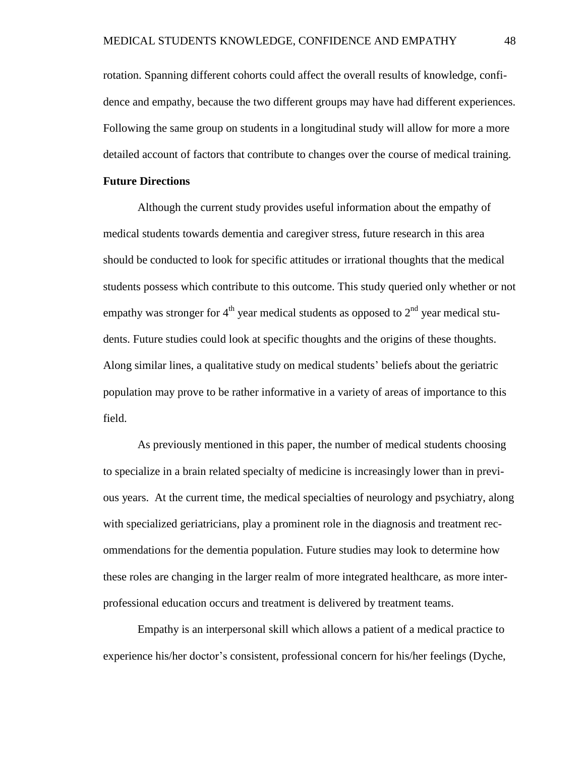rotation. Spanning different cohorts could affect the overall results of knowledge, confidence and empathy, because the two different groups may have had different experiences. Following the same group on students in a longitudinal study will allow for more a more detailed account of factors that contribute to changes over the course of medical training.

#### **Future Directions**

Although the current study provides useful information about the empathy of medical students towards dementia and caregiver stress, future research in this area should be conducted to look for specific attitudes or irrational thoughts that the medical students possess which contribute to this outcome. This study queried only whether or not empathy was stronger for  $4<sup>th</sup>$  year medical students as opposed to  $2<sup>nd</sup>$  year medical students. Future studies could look at specific thoughts and the origins of these thoughts. Along similar lines, a qualitative study on medical students' beliefs about the geriatric population may prove to be rather informative in a variety of areas of importance to this field.

As previously mentioned in this paper, the number of medical students choosing to specialize in a brain related specialty of medicine is increasingly lower than in previous years. At the current time, the medical specialties of neurology and psychiatry, along with specialized geriatricians, play a prominent role in the diagnosis and treatment recommendations for the dementia population. Future studies may look to determine how these roles are changing in the larger realm of more integrated healthcare, as more interprofessional education occurs and treatment is delivered by treatment teams.

Empathy is an interpersonal skill which allows a patient of a medical practice to experience his/her doctor's consistent, professional concern for his/her feelings (Dyche,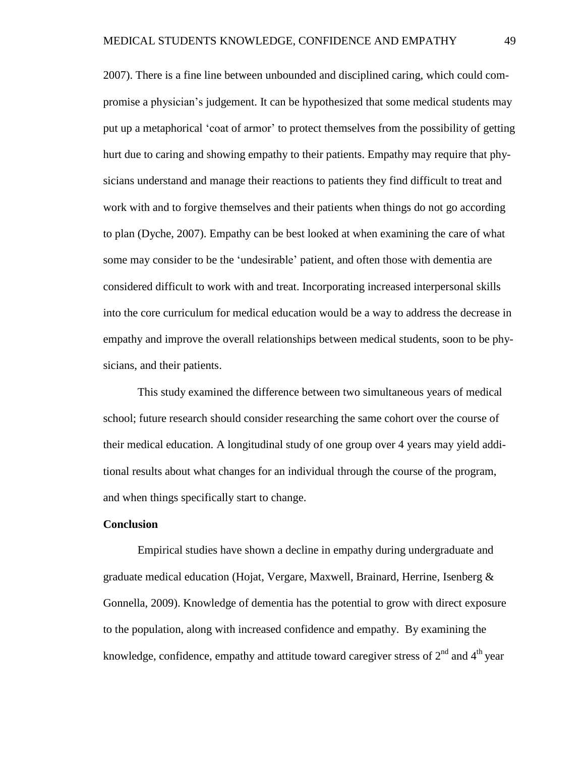2007). There is a fine line between unbounded and disciplined caring, which could compromise a physician's judgement. It can be hypothesized that some medical students may put up a metaphorical 'coat of armor' to protect themselves from the possibility of getting hurt due to caring and showing empathy to their patients. Empathy may require that physicians understand and manage their reactions to patients they find difficult to treat and work with and to forgive themselves and their patients when things do not go according to plan (Dyche, 2007). Empathy can be best looked at when examining the care of what some may consider to be the 'undesirable' patient, and often those with dementia are considered difficult to work with and treat. Incorporating increased interpersonal skills into the core curriculum for medical education would be a way to address the decrease in empathy and improve the overall relationships between medical students, soon to be physicians, and their patients.

This study examined the difference between two simultaneous years of medical school; future research should consider researching the same cohort over the course of their medical education. A longitudinal study of one group over 4 years may yield additional results about what changes for an individual through the course of the program, and when things specifically start to change.

#### **Conclusion**

Empirical studies have shown a decline in empathy during undergraduate and graduate medical education (Hojat, Vergare, Maxwell, Brainard, Herrine, Isenberg & Gonnella, 2009). Knowledge of dementia has the potential to grow with direct exposure to the population, along with increased confidence and empathy. By examining the knowledge, confidence, empathy and attitude toward caregiver stress of  $2<sup>nd</sup>$  and  $4<sup>th</sup>$  year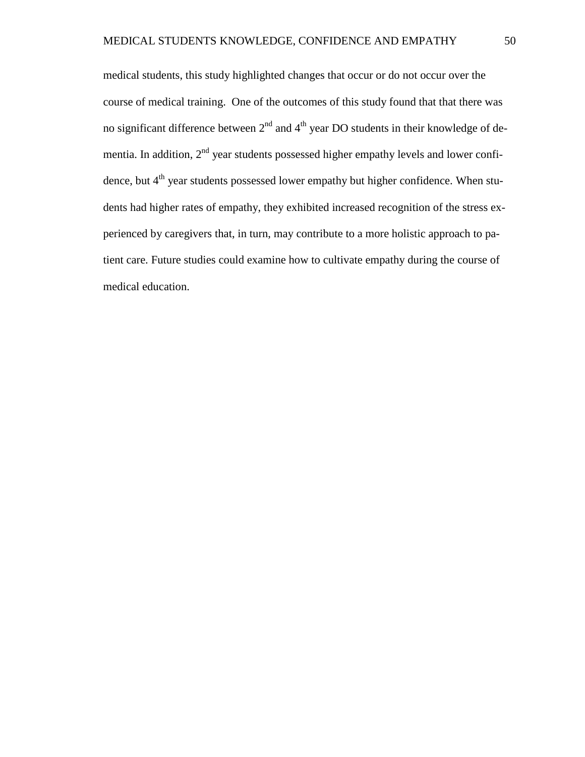medical students, this study highlighted changes that occur or do not occur over the course of medical training. One of the outcomes of this study found that that there was no significant difference between  $2<sup>nd</sup>$  and  $4<sup>th</sup>$  year DO students in their knowledge of dementia. In addition,  $2<sup>nd</sup>$  year students possessed higher empathy levels and lower confidence, but 4<sup>th</sup> year students possessed lower empathy but higher confidence. When students had higher rates of empathy, they exhibited increased recognition of the stress experienced by caregivers that, in turn, may contribute to a more holistic approach to patient care. Future studies could examine how to cultivate empathy during the course of medical education.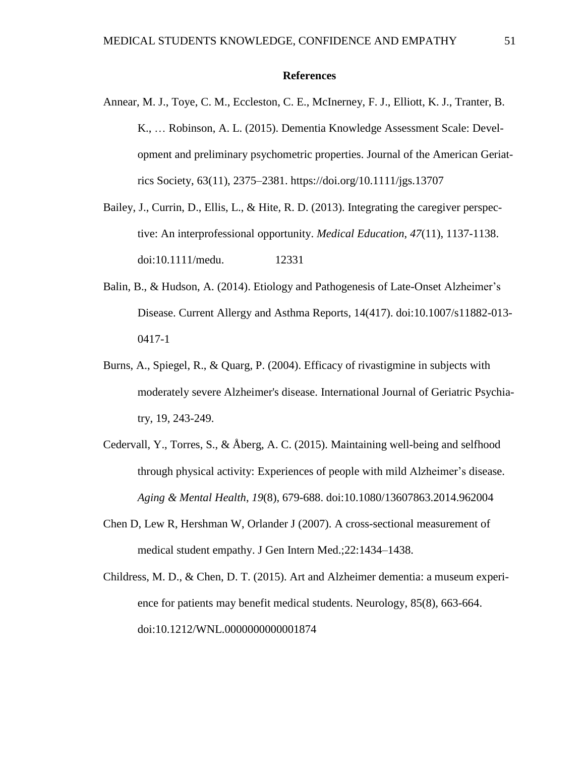#### **References**

Annear, M. J., Toye, C. M., Eccleston, C. E., McInerney, F. J., Elliott, K. J., Tranter, B. K., … Robinson, A. L. (2015). Dementia Knowledge Assessment Scale: Development and preliminary psychometric properties. Journal of the American Geriatrics Society, 63(11), 2375–2381. https://doi.org/10.1111/jgs.13707

Bailey, J., Currin, D., Ellis, L., & Hite, R. D. (2013). Integrating the caregiver perspective: An interprofessional opportunity. *Medical Education*, *47*(11), 1137-1138. doi:10.1111/medu. 12331

- Balin, B., & Hudson, A. (2014). Etiology and Pathogenesis of Late-Onset Alzheimer's Disease. Current Allergy and Asthma Reports, 14(417). doi:10.1007/s11882-013- 0417-1
- Burns, A., Spiegel, R., & Quarg, P. (2004). Efficacy of rivastigmine in subjects with moderately severe Alzheimer's disease. International Journal of Geriatric Psychiatry, 19, 243-249.
- Cedervall, Y., Torres, S., & Åberg, A. C. (2015). Maintaining well-being and selfhood through physical activity: Experiences of people with mild Alzheimer's disease. *Aging & Mental Health*, *19*(8), 679-688. doi:10.1080/13607863.2014.962004
- Chen D, Lew R, Hershman W, Orlander J (2007). A cross-sectional measurement of medical student empathy. J Gen Intern Med.;22:1434–1438.
- Childress, M. D., & Chen, D. T. (2015). Art and Alzheimer dementia: a museum experience for patients may benefit medical students. Neurology, 85(8), 663-664. doi:10.1212/WNL.0000000000001874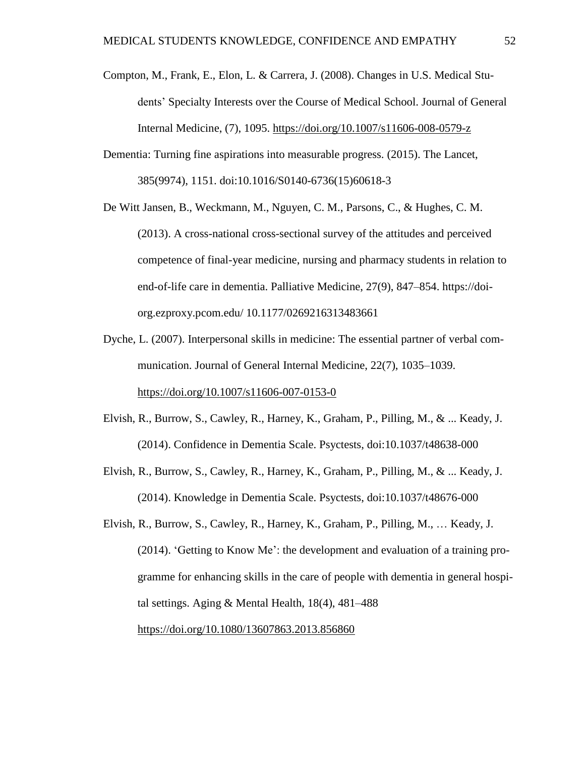- Compton, M., Frank, E., Elon, L. & Carrera, J. (2008). Changes in U.S. Medical Students' Specialty Interests over the Course of Medical School. Journal of General Internal Medicine, (7), 1095. <https://doi.org/10.1007/s11606-008-0579-z>
- Dementia: Turning fine aspirations into measurable progress. (2015). The Lancet, 385(9974), 1151. doi:10.1016/S0140-6736(15)60618-3
- De Witt Jansen, B., Weckmann, M., Nguyen, C. M., Parsons, C., & Hughes, C. M. (2013). A cross-national cross-sectional survey of the attitudes and perceived competence of final-year medicine, nursing and pharmacy students in relation to end-of-life care in dementia. Palliative Medicine, 27(9), 847–854. https://doiorg.ezproxy.pcom.edu/ 10.1177/0269216313483661
- Dyche, L. (2007). Interpersonal skills in medicine: The essential partner of verbal communication. Journal of General Internal Medicine, 22(7), 1035–1039. <https://doi.org/10.1007/s11606-007-0153-0>
- Elvish, R., Burrow, S., Cawley, R., Harney, K., Graham, P., Pilling, M., & ... Keady, J. (2014). Confidence in Dementia Scale. Psyctests, doi:10.1037/t48638-000
- Elvish, R., Burrow, S., Cawley, R., Harney, K., Graham, P., Pilling, M., & ... Keady, J. (2014). Knowledge in Dementia Scale. Psyctests, doi:10.1037/t48676-000
- Elvish, R., Burrow, S., Cawley, R., Harney, K., Graham, P., Pilling, M., … Keady, J. (2014). 'Getting to Know Me': the development and evaluation of a training programme for enhancing skills in the care of people with dementia in general hospital settings. Aging & Mental Health, 18(4), 481–488 <https://doi.org/10.1080/13607863.2013.856860>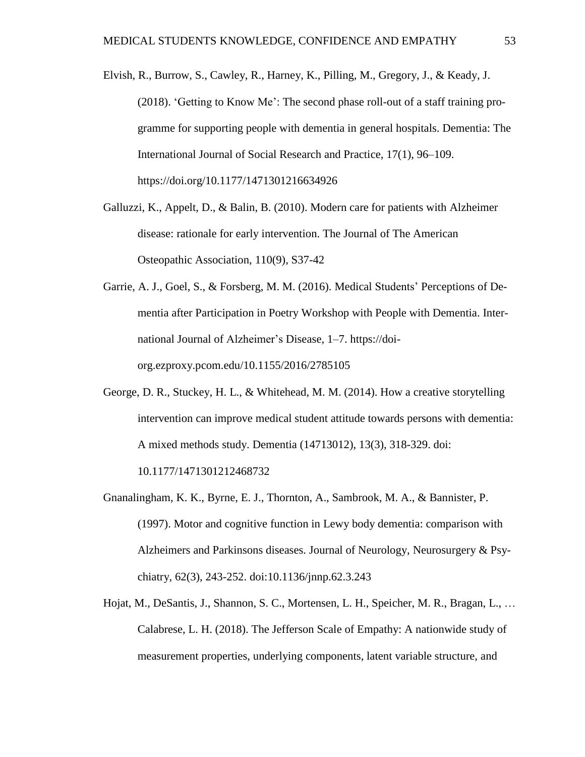- Elvish, R., Burrow, S., Cawley, R., Harney, K., Pilling, M., Gregory, J., & Keady, J. (2018). 'Getting to Know Me': The second phase roll-out of a staff training programme for supporting people with dementia in general hospitals. Dementia: The International Journal of Social Research and Practice, 17(1), 96–109. https://doi.org/10.1177/1471301216634926
- Galluzzi, K., Appelt, D., & Balin, B. (2010). Modern care for patients with Alzheimer disease: rationale for early intervention. The Journal of The American Osteopathic Association, 110(9), S37-42
- Garrie, A. J., Goel, S., & Forsberg, M. M. (2016). Medical Students' Perceptions of Dementia after Participation in Poetry Workshop with People with Dementia. International Journal of Alzheimer's Disease, 1–7. https://doiorg.ezproxy.pcom.edu/10.1155/2016/2785105
- George, D. R., Stuckey, H. L., & Whitehead, M. M. (2014). How a creative storytelling intervention can improve medical student attitude towards persons with dementia: A mixed methods study. Dementia (14713012), 13(3), 318-329. doi:

10.1177/1471301212468732

- Gnanalingham, K. K., Byrne, E. J., Thornton, A., Sambrook, M. A., & Bannister, P. (1997). Motor and cognitive function in Lewy body dementia: comparison with Alzheimers and Parkinsons diseases. Journal of Neurology, Neurosurgery & Psychiatry, 62(3), 243-252. doi:10.1136/jnnp.62.3.243
- Hojat, M., DeSantis, J., Shannon, S. C., Mortensen, L. H., Speicher, M. R., Bragan, L., … Calabrese, L. H. (2018). The Jefferson Scale of Empathy: A nationwide study of measurement properties, underlying components, latent variable structure, and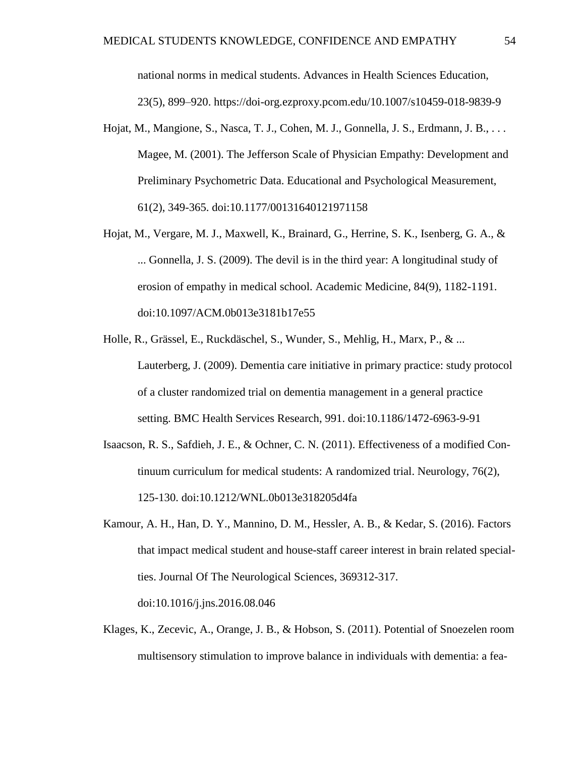national norms in medical students. Advances in Health Sciences Education, 23(5), 899–920. https://doi-org.ezproxy.pcom.edu/10.1007/s10459-018-9839-9

- Hojat, M., Mangione, S., Nasca, T. J., Cohen, M. J., Gonnella, J. S., Erdmann, J. B., . . . Magee, M. (2001). The Jefferson Scale of Physician Empathy: Development and Preliminary Psychometric Data. Educational and Psychological Measurement, 61(2), 349-365. doi:10.1177/00131640121971158
- Hojat, M., Vergare, M. J., Maxwell, K., Brainard, G., Herrine, S. K., Isenberg, G. A., & ... Gonnella, J. S. (2009). The devil is in the third year: A longitudinal study of erosion of empathy in medical school. Academic Medicine, 84(9), 1182-1191. doi:10.1097/ACM.0b013e3181b17e55
- Holle, R., Grässel, E., Ruckdäschel, S., Wunder, S., Mehlig, H., Marx, P., & ... Lauterberg, J. (2009). Dementia care initiative in primary practice: study protocol of a cluster randomized trial on dementia management in a general practice setting. BMC Health Services Research, 991. doi:10.1186/1472-6963-9-91
- Isaacson, R. S., Safdieh, J. E., & Ochner, C. N. (2011). Effectiveness of a modified Continuum curriculum for medical students: A randomized trial. Neurology, 76(2), 125-130. doi:10.1212/WNL.0b013e318205d4fa
- Kamour, A. H., Han, D. Y., Mannino, D. M., Hessler, A. B., & Kedar, S. (2016). Factors that impact medical student and house-staff career interest in brain related specialties. Journal Of The Neurological Sciences, 369312-317. doi:10.1016/j.jns.2016.08.046
- Klages, K., Zecevic, A., Orange, J. B., & Hobson, S. (2011). Potential of Snoezelen room multisensory stimulation to improve balance in individuals with dementia: a fea-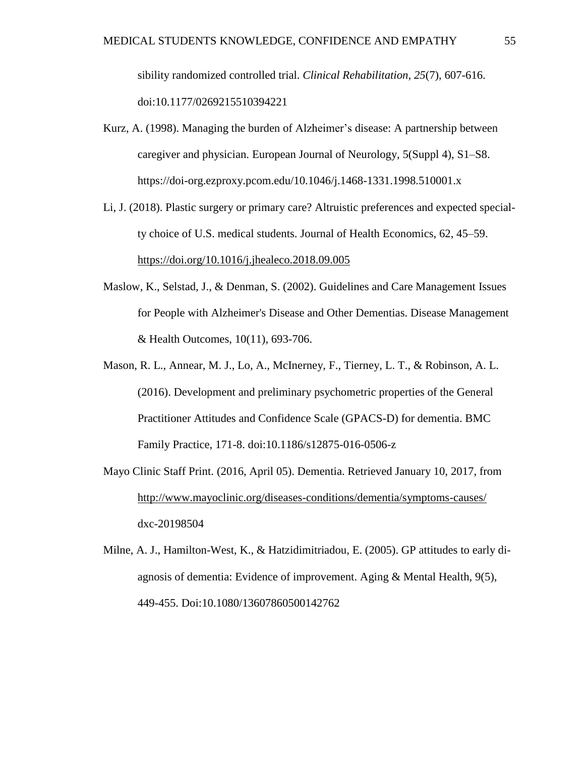sibility randomized controlled trial. *Clinical Rehabilitation*, *25*(7), 607-616. doi:10.1177/0269215510394221

- Kurz, A. (1998). Managing the burden of Alzheimer's disease: A partnership between caregiver and physician. European Journal of Neurology, 5(Suppl 4), S1–S8. [https://doi-o](https://doi-/)rg.ezproxy.pcom.edu/10.1046/j.1468-1331.1998.510001.x
- Li, J. (2018). Plastic surgery or primary care? Altruistic preferences and expected specialty choice of U.S. medical students. Journal of Health Economics, 62, 45–59. <https://doi.org/10.1016/j.jhealeco.2018.09.005>
- Maslow, K., Selstad, J., & Denman, S. (2002). Guidelines and Care Management Issues for People with Alzheimer's Disease and Other Dementias. Disease Management & Health Outcomes, 10(11), 693-706.
- Mason, R. L., Annear, M. J., Lo, A., McInerney, F., Tierney, L. T., & Robinson, A. L. (2016). Development and preliminary psychometric properties of the General Practitioner Attitudes and Confidence Scale (GPACS-D) for dementia. BMC Family Practice, 171-8. doi:10.1186/s12875-016-0506-z
- Mayo Clinic Staff Print. (2016, April 05). Dementia. Retrieved January 10, 2017, from <http://www.mayoclinic.org/diseases-conditions/dementia/symptoms-causes/> dxc-20198504
- Milne, A. J., Hamilton-West, K., & Hatzidimitriadou, E. (2005). GP attitudes to early diagnosis of dementia: Evidence of improvement. Aging & Mental Health, 9(5), 449-455. Doi:10.1080/13607860500142762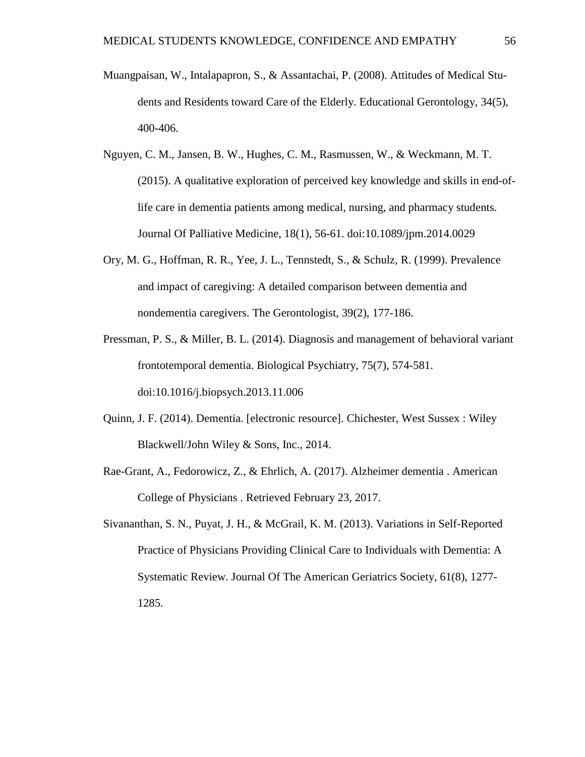- Muangpaisan, W., Intalapapron, S., & Assantachai, P. (2008). Attitudes of Medical Students and Residents toward Care of the Elderly. Educational Gerontology, 34(5), 400-406.
- Nguyen, C. M., Jansen, B. W., Hughes, C. M., Rasmussen, W., & Weckmann, M. T. (2015). A qualitative exploration of perceived key knowledge and skills in end-oflife care in dementia patients among medical, nursing, and pharmacy students. Journal Of Palliative Medicine, 18(1), 56-61. doi:10.1089/jpm.2014.0029
- Ory, M. G., Hoffman, R. R., Yee, J. L., Tennstedt, S., & Schulz, R. (1999). Prevalence and impact of caregiving: A detailed comparison between dementia and nondementia caregivers. The Gerontologist, 39(2), 177-186.
- Pressman, P. S., & Miller, B. L. (2014). Diagnosis and management of behavioral variant frontotemporal dementia. Biological Psychiatry, 75(7), 574-581. doi:10.1016/j.biopsych.2013.11.006
- Quinn, J. F. (2014). Dementia. [electronic resource]. Chichester, West Sussex : Wiley Blackwell/John Wiley & Sons, Inc., 2014.
- Rae-Grant, A., Fedorowicz, Z., & Ehrlich, A. (2017). Alzheimer dementia . American College of Physicians . Retrieved February 23, 2017.
- Sivananthan, S. N., Puyat, J. H., & McGrail, K. M. (2013). Variations in Self-Reported Practice of Physicians Providing Clinical Care to Individuals with Dementia: A Systematic Review. Journal Of The American Geriatrics Society, 61(8), 1277- 1285.